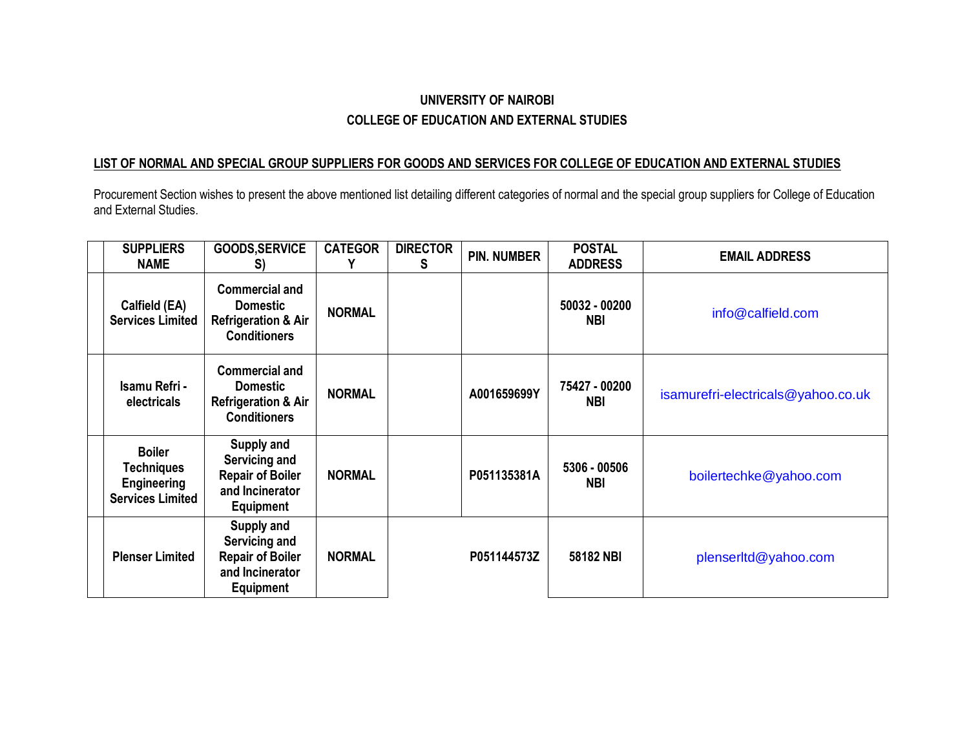## **UNIVERSITY OF NAIROBI COLLEGE OF EDUCATION AND EXTERNAL STUDIES**

## **LIST OF NORMAL AND SPECIAL GROUP SUPPLIERS FOR GOODS AND SERVICES FOR COLLEGE OF EDUCATION AND EXTERNAL STUDIES**

Procurement Section wishes to present the above mentioned list detailing different categories of normal and the special group suppliers for College of Education and External Studies.

| <b>SUPPLIERS</b><br><b>NAME</b>                                                     | <b>GOODS, SERVICE</b><br>S)                                                                       | <b>CATEGOR</b> | <b>DIRECTOR</b><br>S | <b>PIN. NUMBER</b> | <b>POSTAL</b><br><b>ADDRESS</b> | <b>EMAIL ADDRESS</b>               |
|-------------------------------------------------------------------------------------|---------------------------------------------------------------------------------------------------|----------------|----------------------|--------------------|---------------------------------|------------------------------------|
| Calfield (EA)<br><b>Services Limited</b>                                            | <b>Commercial and</b><br><b>Domestic</b><br><b>Refrigeration &amp; Air</b><br><b>Conditioners</b> | <b>NORMAL</b>  |                      |                    | 50032 - 00200<br><b>NBI</b>     | info@calfield.com                  |
| Isamu Refri -<br>electricals                                                        | <b>Commercial and</b><br><b>Domestic</b><br><b>Refrigeration &amp; Air</b><br><b>Conditioners</b> | <b>NORMAL</b>  |                      | A001659699Y        | 75427 - 00200<br><b>NBI</b>     | isamurefri-electricals@yahoo.co.uk |
| <b>Boiler</b><br><b>Techniques</b><br><b>Engineering</b><br><b>Services Limited</b> | Supply and<br>Servicing and<br><b>Repair of Boiler</b><br>and Incinerator<br><b>Equipment</b>     | <b>NORMAL</b>  |                      | P051135381A        | 5306 - 00506<br><b>NBI</b>      | boilertechke@yahoo.com             |
| <b>Plenser Limited</b>                                                              | Supply and<br>Servicing and<br><b>Repair of Boiler</b><br>and Incinerator<br>Equipment            | <b>NORMAL</b>  |                      | P051144573Z        | 58182 NBI                       | plenserltd@yahoo.com               |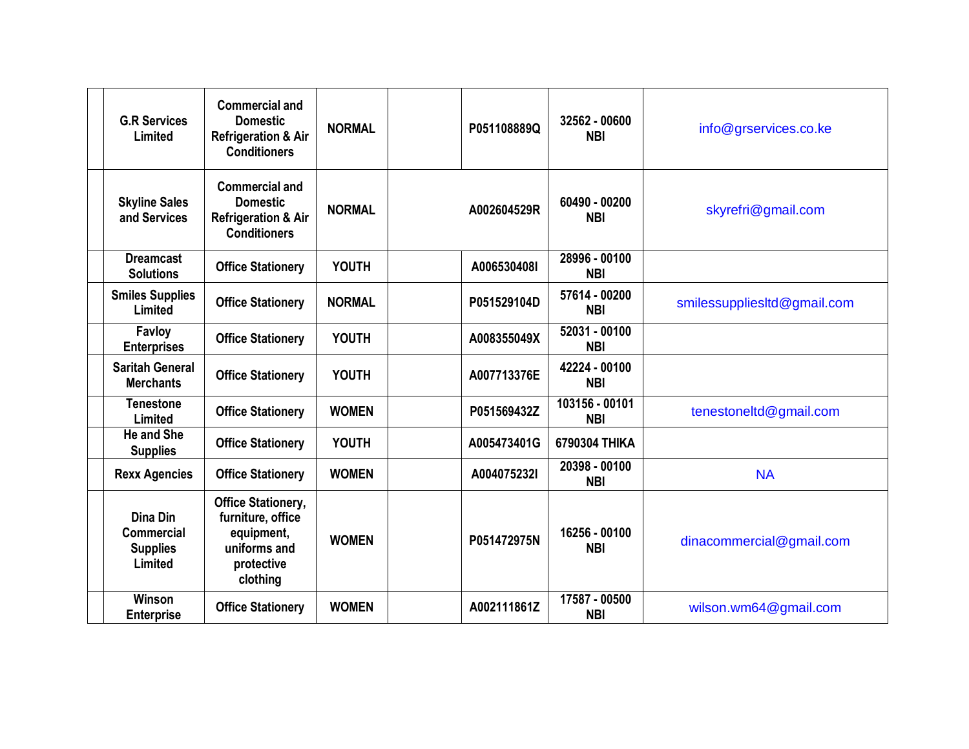| <b>G.R Services</b><br>Limited                              | <b>Commercial and</b><br><b>Domestic</b><br><b>Refrigeration &amp; Air</b><br><b>Conditioners</b>      | <b>NORMAL</b> | P051108889Q | 32562 - 00600<br><b>NBI</b>  | info@grservices.co.ke       |
|-------------------------------------------------------------|--------------------------------------------------------------------------------------------------------|---------------|-------------|------------------------------|-----------------------------|
| <b>Skyline Sales</b><br>and Services                        | <b>Commercial and</b><br><b>Domestic</b><br><b>Refrigeration &amp; Air</b><br><b>Conditioners</b>      | <b>NORMAL</b> | A002604529R | 60490 - 00200<br><b>NBI</b>  | skyrefri@gmail.com          |
| <b>Dreamcast</b><br><b>Solutions</b>                        | <b>Office Stationery</b>                                                                               | <b>YOUTH</b>  | A006530408I | 28996 - 00100<br><b>NBI</b>  |                             |
| <b>Smiles Supplies</b><br>Limited                           | <b>Office Stationery</b>                                                                               | <b>NORMAL</b> | P051529104D | 57614 - 00200<br><b>NBI</b>  | smilessupplies td@gmail.com |
| Favloy<br><b>Enterprises</b>                                | <b>Office Stationery</b>                                                                               | <b>YOUTH</b>  | A008355049X | 52031 - 00100<br><b>NBI</b>  |                             |
| <b>Saritah General</b><br><b>Merchants</b>                  | <b>Office Stationery</b>                                                                               | <b>YOUTH</b>  | A007713376E | 42224 - 00100<br><b>NBI</b>  |                             |
| Tenestone<br>Limited                                        | <b>Office Stationery</b>                                                                               | <b>WOMEN</b>  | P051569432Z | 103156 - 00101<br><b>NBI</b> | tenestoneltd@gmail.com      |
| <b>He and She</b><br><b>Supplies</b>                        | <b>Office Stationery</b>                                                                               | <b>YOUTH</b>  | A005473401G | 6790304 THIKA                |                             |
| <b>Rexx Agencies</b>                                        | <b>Office Stationery</b>                                                                               | <b>WOMEN</b>  | A004075232I | 20398 - 00100<br><b>NBI</b>  | <b>NA</b>                   |
| Dina Din<br><b>Commercial</b><br><b>Supplies</b><br>Limited | <b>Office Stationery,</b><br>furniture, office<br>equipment,<br>uniforms and<br>protective<br>clothing | <b>WOMEN</b>  | P051472975N | 16256 - 00100<br><b>NBI</b>  | dinacommercial@gmail.com    |
| <b>Winson</b><br><b>Enterprise</b>                          | <b>Office Stationery</b>                                                                               | <b>WOMEN</b>  | A002111861Z | 17587 - 00500<br><b>NBI</b>  | wilson.wm64@gmail.com       |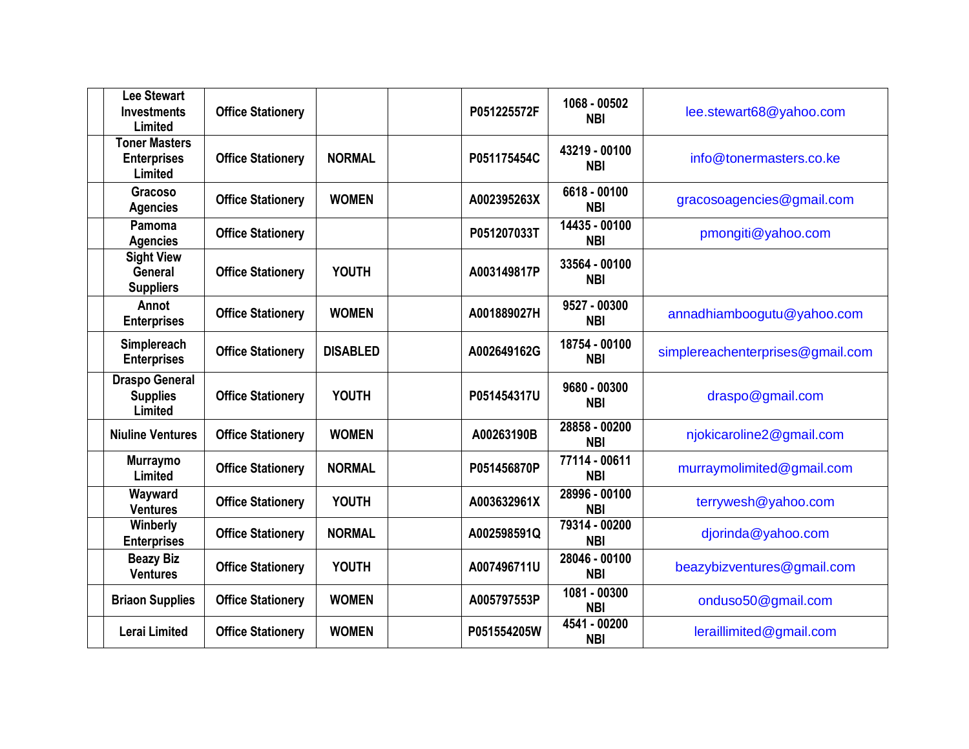| Lee Stewart<br><b>Investments</b><br>Limited            | <b>Office Stationery</b> |                 | P051225572F | 1068 - 00502<br><b>NBI</b>    | lee.stewart68@yahoo.com          |
|---------------------------------------------------------|--------------------------|-----------------|-------------|-------------------------------|----------------------------------|
| <b>Toner Masters</b><br><b>Enterprises</b><br>Limited   | <b>Office Stationery</b> | <b>NORMAL</b>   | P051175454C | 43219 - 00100<br><b>NBI</b>   | info@tonermasters.co.ke          |
| Gracoso<br><b>Agencies</b>                              | <b>Office Stationery</b> | <b>WOMEN</b>    | A002395263X | 6618 - 00100<br><b>NBI</b>    | gracosoagencies@gmail.com        |
| Pamoma<br><b>Agencies</b>                               | <b>Office Stationery</b> |                 | P051207033T | $14435 - 00100$<br><b>NBI</b> | pmongiti@yahoo.com               |
| <b>Sight View</b><br><b>General</b><br><b>Suppliers</b> | <b>Office Stationery</b> | <b>YOUTH</b>    | A003149817P | 33564 - 00100<br><b>NBI</b>   |                                  |
| Annot<br><b>Enterprises</b>                             | <b>Office Stationery</b> | <b>WOMEN</b>    | A001889027H | 9527 - 00300<br><b>NBI</b>    | annadhiamboogutu@yahoo.com       |
| Simplereach<br><b>Enterprises</b>                       | <b>Office Stationery</b> | <b>DISABLED</b> | A002649162G | 18754 - 00100<br><b>NBI</b>   | simplereachenterprises@gmail.com |
| <b>Draspo General</b><br><b>Supplies</b><br>Limited     | <b>Office Stationery</b> | <b>YOUTH</b>    | P051454317U | 9680 - 00300<br><b>NBI</b>    | draspo@gmail.com                 |
| <b>Niuline Ventures</b>                                 | <b>Office Stationery</b> | <b>WOMEN</b>    | A00263190B  | 28858 - 00200<br><b>NBI</b>   | njokicaroline2@gmail.com         |
| <b>Murraymo</b><br>Limited                              | <b>Office Stationery</b> | <b>NORMAL</b>   | P051456870P | 77114 - 00611<br><b>NBI</b>   | murraymolimited@gmail.com        |
| Wayward<br><b>Ventures</b>                              | <b>Office Stationery</b> | <b>YOUTH</b>    | A003632961X | 28996 - 00100<br><b>NBI</b>   | terrywesh@yahoo.com              |
| Winberly<br><b>Enterprises</b>                          | <b>Office Stationery</b> | <b>NORMAL</b>   | A002598591Q | 79314 - 00200<br><b>NBI</b>   | djorinda@yahoo.com               |
| <b>Beazy Biz</b><br><b>Ventures</b>                     | <b>Office Stationery</b> | <b>YOUTH</b>    | A007496711U | 28046 - 00100<br><b>NBI</b>   | beazybizventures@gmail.com       |
| <b>Briaon Supplies</b>                                  | <b>Office Stationery</b> | <b>WOMEN</b>    | A005797553P | 1081 - 00300<br><b>NBI</b>    | onduso50@gmail.com               |
| <b>Lerai Limited</b>                                    | <b>Office Stationery</b> | <b>WOMEN</b>    | P051554205W | 4541 - 00200<br><b>NBI</b>    | leraillimited@gmail.com          |
|                                                         |                          |                 |             |                               |                                  |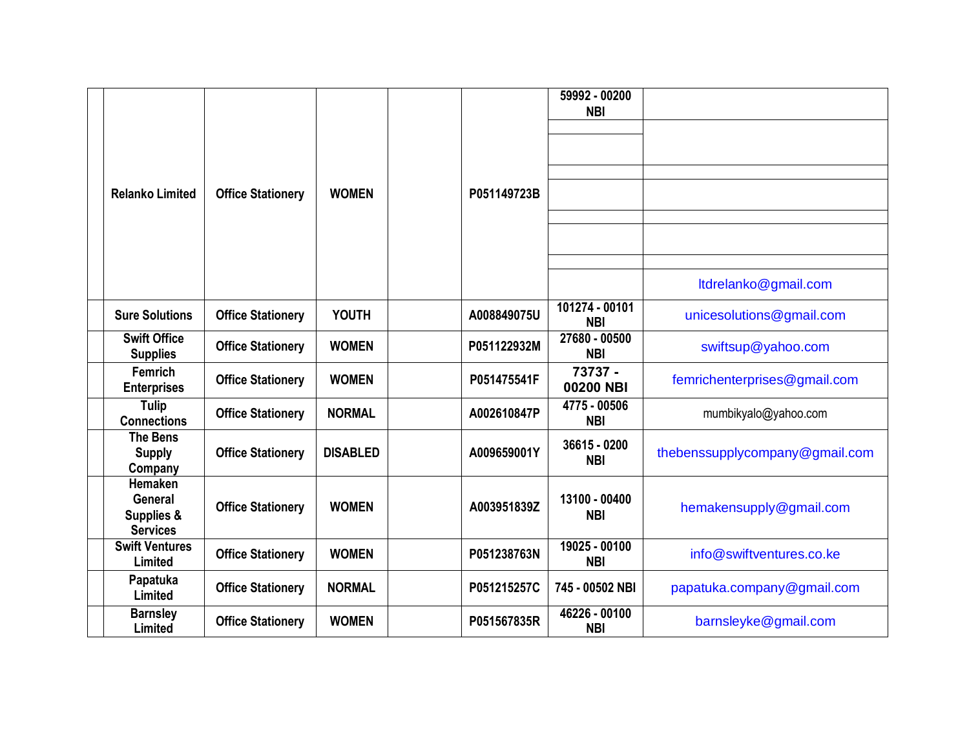|                                                            |                          |                 |             | 59992 - 00200<br><b>NBI</b>  |                                |
|------------------------------------------------------------|--------------------------|-----------------|-------------|------------------------------|--------------------------------|
|                                                            |                          |                 |             |                              |                                |
|                                                            |                          |                 |             |                              |                                |
| <b>Relanko Limited</b>                                     | <b>Office Stationery</b> | <b>WOMEN</b>    | P051149723B |                              |                                |
|                                                            |                          |                 |             |                              |                                |
|                                                            |                          |                 |             |                              |                                |
|                                                            |                          |                 |             |                              |                                |
|                                                            |                          |                 |             |                              | ltdrelanko@gmail.com           |
| <b>Sure Solutions</b>                                      | <b>Office Stationery</b> | <b>YOUTH</b>    | A008849075U | 101274 - 00101<br><b>NBI</b> | unicesolutions@gmail.com       |
| <b>Swift Office</b><br><b>Supplies</b>                     | <b>Office Stationery</b> | <b>WOMEN</b>    | P051122932M | 27680 - 00500<br><b>NBI</b>  | swiftsup@yahoo.com             |
| Femrich<br><b>Enterprises</b>                              | <b>Office Stationery</b> | <b>WOMEN</b>    | P051475541F | 73737 -<br>00200 NBI         | femrichenterprises@gmail.com   |
| <b>Tulip</b><br><b>Connections</b>                         | <b>Office Stationery</b> | <b>NORMAL</b>   | A002610847P | 4775 - 00506<br><b>NBI</b>   | mumbikyalo@yahoo.com           |
| <b>The Bens</b><br><b>Supply</b><br>Company                | <b>Office Stationery</b> | <b>DISABLED</b> | A009659001Y | 36615 - 0200<br><b>NBI</b>   | thebenssupplycompany@gmail.com |
| Hemaken<br><b>General</b><br>Supplies &<br><b>Services</b> | <b>Office Stationery</b> | <b>WOMEN</b>    | A003951839Z | 13100 - 00400<br><b>NBI</b>  | hemakensupply@gmail.com        |
| <b>Swift Ventures</b><br>Limited                           | <b>Office Stationery</b> | <b>WOMEN</b>    | P051238763N | 19025 - 00100<br><b>NBI</b>  | info@swiftventures.co.ke       |
| Papatuka<br>Limited                                        | <b>Office Stationery</b> | <b>NORMAL</b>   | P051215257C | 745 - 00502 NBI              | papatuka.company@gmail.com     |
| <b>Barnsley</b><br>Limited                                 | <b>Office Stationery</b> | <b>WOMEN</b>    | P051567835R | 46226 - 00100<br><b>NBI</b>  | barnsleyke@gmail.com           |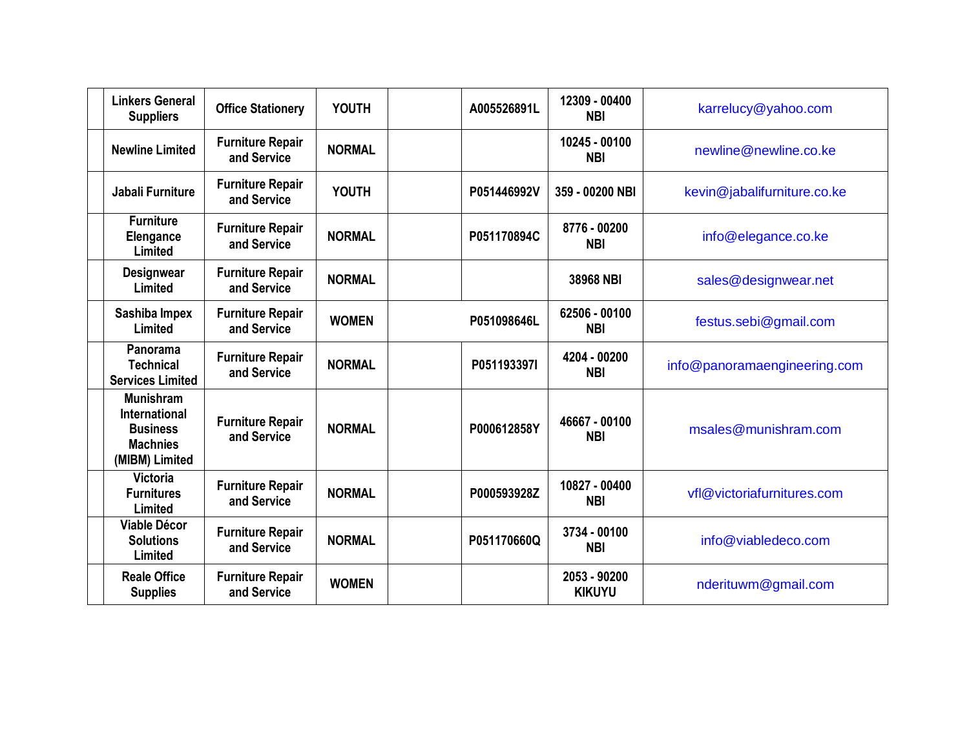| <b>Linkers General</b><br><b>Office Stationery</b><br><b>Suppliers</b>                                                                     | <b>YOUTH</b>  | A005526891L | 12309 - 00400<br><b>NBI</b>   | karrelucy@yahoo.com          |
|--------------------------------------------------------------------------------------------------------------------------------------------|---------------|-------------|-------------------------------|------------------------------|
| <b>Furniture Repair</b><br><b>Newline Limited</b><br>and Service                                                                           | <b>NORMAL</b> |             | 10245 - 00100<br><b>NBI</b>   | newline@newline.co.ke        |
| <b>Furniture Repair</b><br>Jabali Furniture<br>and Service                                                                                 | <b>YOUTH</b>  | P051446992V | 359 - 00200 NBI               | kevin@jabalifurniture.co.ke  |
| <b>Furniture</b><br><b>Furniture Repair</b><br>Elengance<br>and Service<br>Limited                                                         | <b>NORMAL</b> | P051170894C | 8776 - 00200<br><b>NBI</b>    | info@elegance.co.ke          |
| <b>Furniture Repair</b><br><b>Designwear</b><br>and Service<br>Limited                                                                     | <b>NORMAL</b> |             | 38968 NBI                     | sales@designwear.net         |
| Sashiba Impex<br><b>Furniture Repair</b><br>Limited<br>and Service                                                                         | <b>WOMEN</b>  | P051098646L | 62506 - 00100<br><b>NBI</b>   | festus.sebi@gmail.com        |
| Panorama<br><b>Furniture Repair</b><br><b>Technical</b><br>and Service<br><b>Services Limited</b>                                          | <b>NORMAL</b> | P051193397I | 4204 - 00200<br><b>NBI</b>    | info@panoramaengineering.com |
| <b>Munishram</b><br><b>International</b><br><b>Furniture Repair</b><br><b>Business</b><br>and Service<br><b>Machnies</b><br>(MIBM) Limited | <b>NORMAL</b> | P000612858Y | 46667 - 00100<br><b>NBI</b>   | msales@munishram.com         |
| <b>Victoria</b><br><b>Furniture Repair</b><br><b>Furnitures</b><br>and Service<br>Limited                                                  | <b>NORMAL</b> | P000593928Z | 10827 - 00400<br><b>NBI</b>   | vfl@victoriafurnitures.com   |
| <b>Viable Décor</b><br><b>Furniture Repair</b><br><b>Solutions</b><br>and Service<br>Limited                                               | <b>NORMAL</b> | P051170660Q | 3734 - 00100<br><b>NBI</b>    | info@viabledeco.com          |
| <b>Reale Office</b><br><b>Furniture Repair</b><br>and Service<br><b>Supplies</b>                                                           | <b>WOMEN</b>  |             | 2053 - 90200<br><b>KIKUYU</b> | nderituwm@gmail.com          |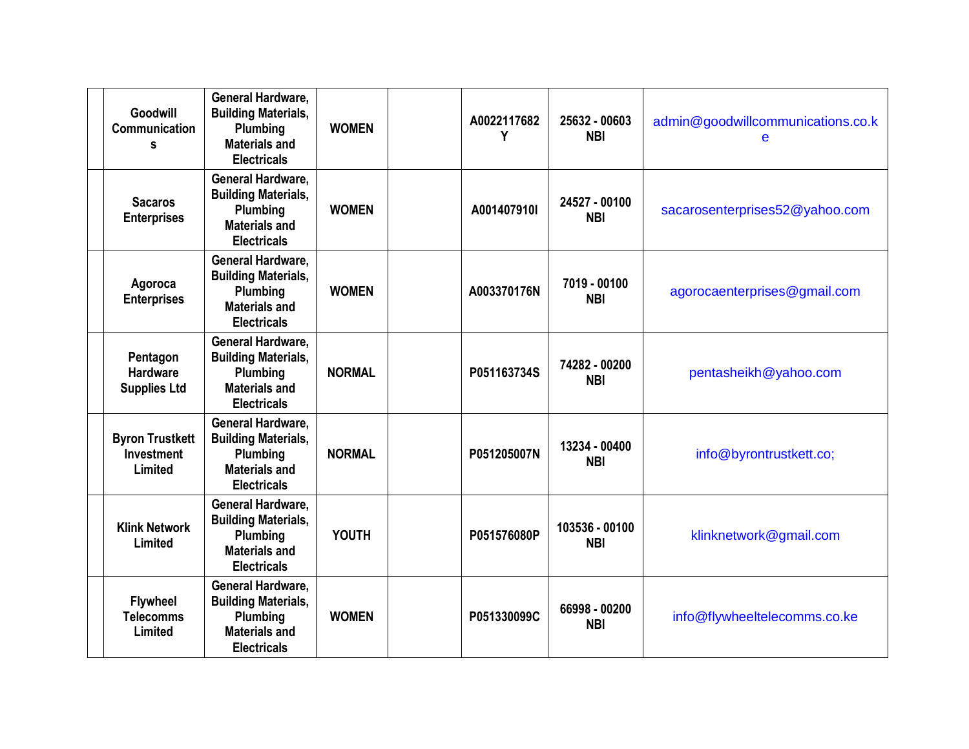| Goodwill<br><b>Communication</b><br>s                  | <b>General Hardware.</b><br><b>Building Materials,</b><br>Plumbing<br><b>Materials and</b><br><b>Electricals</b> | <b>WOMEN</b>  | A0022117682<br>Υ | 25632 - 00603<br><b>NBI</b>  | admin@goodwillcommunications.co.k<br>e |
|--------------------------------------------------------|------------------------------------------------------------------------------------------------------------------|---------------|------------------|------------------------------|----------------------------------------|
| <b>Sacaros</b><br><b>Enterprises</b>                   | General Hardware,<br><b>Building Materials,</b><br>Plumbing<br><b>Materials and</b><br><b>Electricals</b>        | <b>WOMEN</b>  | A001407910I      | 24527 - 00100<br><b>NBI</b>  | sacarosenterprises52@yahoo.com         |
| Agoroca<br><b>Enterprises</b>                          | General Hardware,<br><b>Building Materials,</b><br>Plumbing<br><b>Materials and</b><br><b>Electricals</b>        | <b>WOMEN</b>  | A003370176N      | 7019 - 00100<br><b>NBI</b>   | agorocaenterprises@gmail.com           |
| Pentagon<br><b>Hardware</b><br><b>Supplies Ltd</b>     | General Hardware,<br><b>Building Materials,</b><br>Plumbing<br><b>Materials and</b><br><b>Electricals</b>        | <b>NORMAL</b> | P051163734S      | 74282 - 00200<br><b>NBI</b>  | pentasheikh@yahoo.com                  |
| <b>Byron Trustkett</b><br><b>Investment</b><br>Limited | General Hardware,<br><b>Building Materials,</b><br>Plumbing<br><b>Materials and</b><br><b>Electricals</b>        | <b>NORMAL</b> | P051205007N      | 13234 - 00400<br><b>NBI</b>  | info@byrontrustkett.co;                |
| <b>Klink Network</b><br>Limited                        | General Hardware,<br><b>Building Materials,</b><br>Plumbing<br><b>Materials and</b><br><b>Electricals</b>        | <b>YOUTH</b>  | P051576080P      | 103536 - 00100<br><b>NBI</b> | klinknetwork@gmail.com                 |
| <b>Flywheel</b><br><b>Telecomms</b><br>Limited         | General Hardware,<br><b>Building Materials,</b><br>Plumbing<br><b>Materials and</b><br><b>Electricals</b>        | <b>WOMEN</b>  | P051330099C      | 66998 - 00200<br><b>NBI</b>  | info@flywheeltelecomms.co.ke           |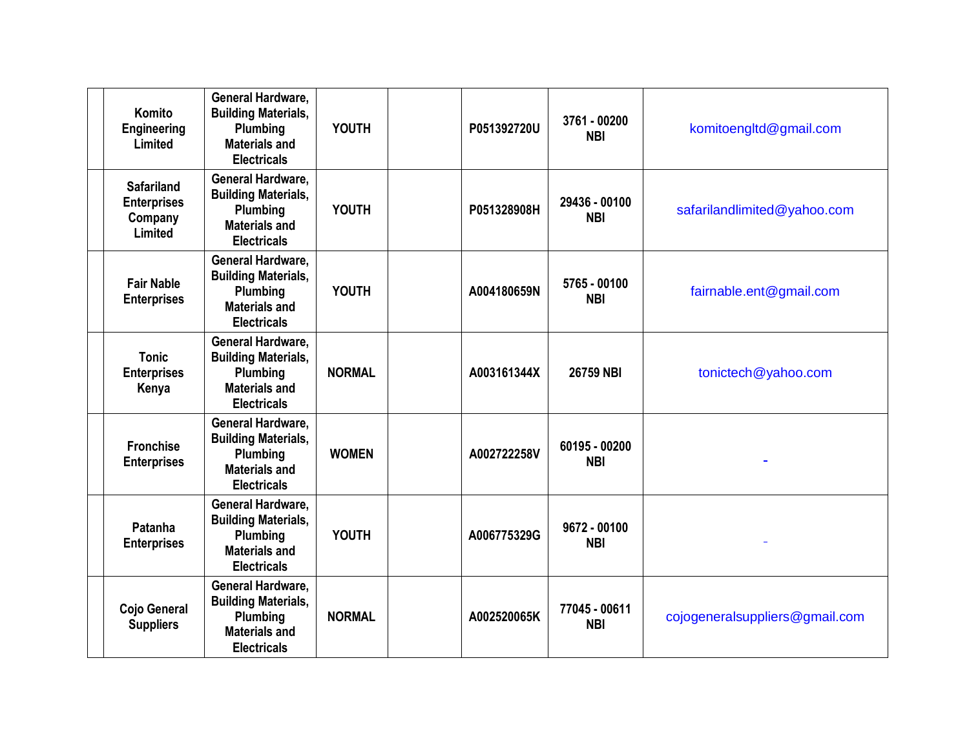| Komito<br>Engineering<br>Limited                              | <b>General Hardware.</b><br><b>Building Materials,</b><br>Plumbing<br><b>Materials and</b><br><b>Electricals</b> | <b>YOUTH</b>  | P051392720U | 3761 - 00200<br><b>NBI</b>  | komitoengltd@gmail.com         |
|---------------------------------------------------------------|------------------------------------------------------------------------------------------------------------------|---------------|-------------|-----------------------------|--------------------------------|
| <b>Safariland</b><br><b>Enterprises</b><br>Company<br>Limited | General Hardware,<br><b>Building Materials,</b><br>Plumbing<br><b>Materials and</b><br><b>Electricals</b>        | <b>YOUTH</b>  | P051328908H | 29436 - 00100<br><b>NBI</b> | safarilandlimited@yahoo.com    |
| <b>Fair Nable</b><br><b>Enterprises</b>                       | General Hardware,<br><b>Building Materials,</b><br>Plumbing<br><b>Materials and</b><br><b>Electricals</b>        | <b>YOUTH</b>  | A004180659N | 5765 - 00100<br><b>NBI</b>  | fairnable.ent@gmail.com        |
| <b>Tonic</b><br><b>Enterprises</b><br>Kenya                   | <b>General Hardware,</b><br><b>Building Materials,</b><br>Plumbing<br><b>Materials and</b><br><b>Electricals</b> | <b>NORMAL</b> | A003161344X | 26759 NBI                   | tonictech@yahoo.com            |
| <b>Fronchise</b><br><b>Enterprises</b>                        | General Hardware,<br><b>Building Materials,</b><br>Plumbing<br><b>Materials and</b><br><b>Electricals</b>        | <b>WOMEN</b>  | A002722258V | 60195 - 00200<br><b>NBI</b> |                                |
| Patanha<br><b>Enterprises</b>                                 | <b>General Hardware,</b><br><b>Building Materials,</b><br>Plumbing<br><b>Materials and</b><br><b>Electricals</b> | <b>YOUTH</b>  | A006775329G | 9672 - 00100<br><b>NBI</b>  |                                |
| Cojo General<br><b>Suppliers</b>                              | <b>General Hardware,</b><br><b>Building Materials,</b><br>Plumbing<br><b>Materials and</b><br><b>Electricals</b> | <b>NORMAL</b> | A002520065K | 77045 - 00611<br><b>NBI</b> | cojogeneralsuppliers@gmail.com |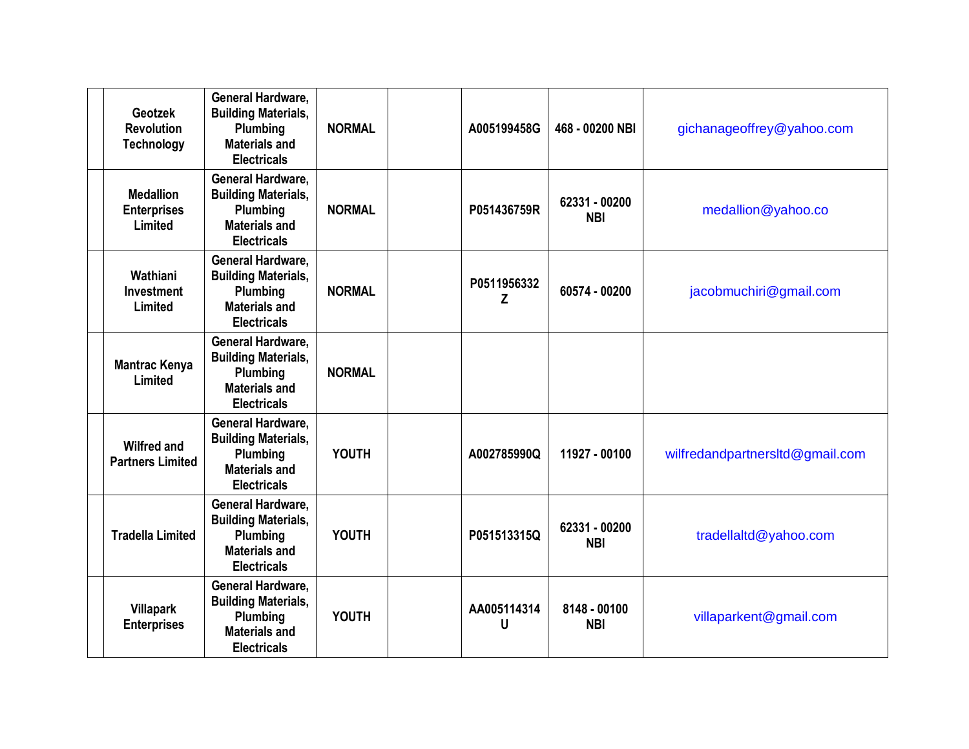| Geotzek<br><b>Revolution</b><br><b>Technology</b> | <b>General Hardware,</b><br><b>Building Materials,</b><br>Plumbing<br><b>Materials and</b><br><b>Electricals</b> | <b>NORMAL</b> | A005199458G      | 468 - 00200 NBI             | gichanageoffrey@yahoo.com       |
|---------------------------------------------------|------------------------------------------------------------------------------------------------------------------|---------------|------------------|-----------------------------|---------------------------------|
| <b>Medallion</b><br><b>Enterprises</b><br>Limited | General Hardware,<br><b>Building Materials,</b><br>Plumbing<br><b>Materials and</b><br><b>Electricals</b>        | <b>NORMAL</b> | P051436759R      | 62331 - 00200<br><b>NBI</b> | medallion@yahoo.co              |
| Wathiani<br><b>Investment</b><br>Limited          | General Hardware,<br><b>Building Materials,</b><br>Plumbing<br><b>Materials and</b><br><b>Electricals</b>        | <b>NORMAL</b> | P0511956332<br>Z | 60574 - 00200               | jacobmuchiri@gmail.com          |
| <b>Mantrac Kenya</b><br>Limited                   | General Hardware,<br><b>Building Materials,</b><br>Plumbing<br><b>Materials and</b><br><b>Electricals</b>        | <b>NORMAL</b> |                  |                             |                                 |
| <b>Wilfred and</b><br><b>Partners Limited</b>     | General Hardware,<br><b>Building Materials,</b><br>Plumbing<br><b>Materials and</b><br><b>Electricals</b>        | <b>YOUTH</b>  | A002785990Q      | 11927 - 00100               | wilfredandpartnersItd@gmail.com |
| <b>Tradella Limited</b>                           | <b>General Hardware,</b><br><b>Building Materials,</b><br>Plumbing<br><b>Materials and</b><br><b>Electricals</b> | <b>YOUTH</b>  | P051513315Q      | 62331 - 00200<br><b>NBI</b> | tradellaltd@yahoo.com           |
| <b>Villapark</b><br><b>Enterprises</b>            | General Hardware,<br><b>Building Materials,</b><br>Plumbing<br><b>Materials and</b><br><b>Electricals</b>        | <b>YOUTH</b>  | AA005114314<br>U | 8148 - 00100<br><b>NBI</b>  | villaparkent@gmail.com          |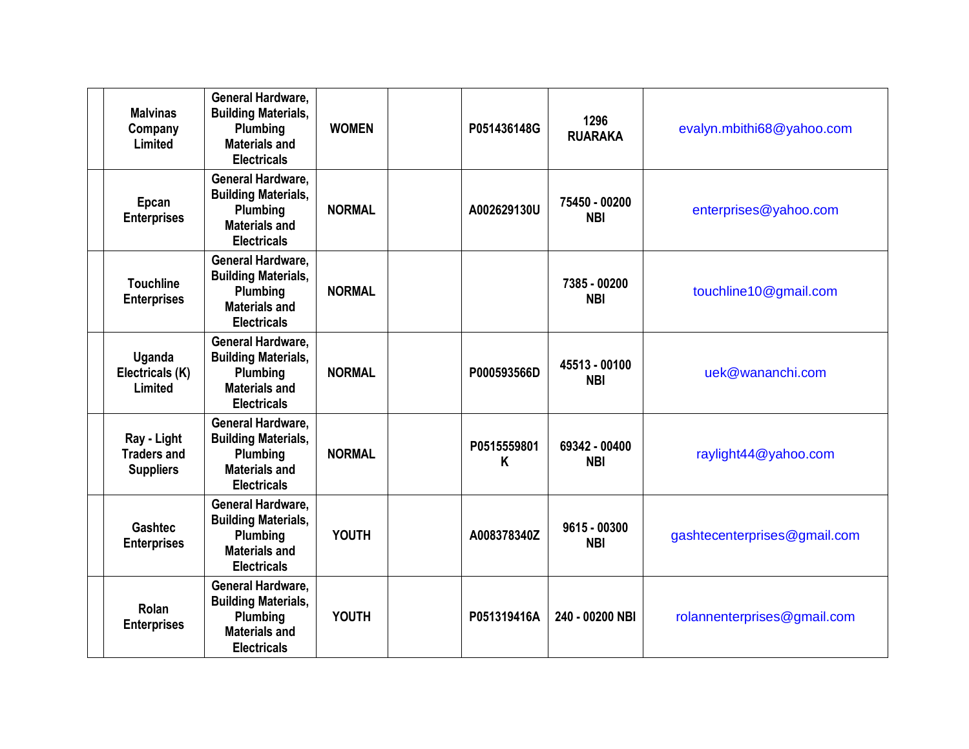| <b>Malvinas</b><br>Company<br>Limited                 | <b>General Hardware,</b><br><b>Building Materials,</b><br>Plumbing<br><b>Materials and</b><br><b>Electricals</b> | <b>WOMEN</b>  | P051436148G      | 1296<br><b>RUARAKA</b>      | evalyn.mbithi68@yahoo.com    |
|-------------------------------------------------------|------------------------------------------------------------------------------------------------------------------|---------------|------------------|-----------------------------|------------------------------|
| Epcan<br><b>Enterprises</b>                           | General Hardware,<br><b>Building Materials,</b><br>Plumbing<br>Materials and<br><b>Electricals</b>               | <b>NORMAL</b> | A002629130U      | 75450 - 00200<br><b>NBI</b> | enterprises@yahoo.com        |
| <b>Touchline</b><br><b>Enterprises</b>                | General Hardware,<br><b>Building Materials,</b><br>Plumbing<br><b>Materials and</b><br><b>Electricals</b>        | <b>NORMAL</b> |                  | 7385 - 00200<br><b>NBI</b>  | touchline10@gmail.com        |
| Uganda<br>Electricals (K)<br>Limited                  | General Hardware,<br><b>Building Materials,</b><br>Plumbing<br><b>Materials and</b><br><b>Electricals</b>        | <b>NORMAL</b> | P000593566D      | 45513 - 00100<br><b>NBI</b> | uek@wananchi.com             |
| Ray - Light<br><b>Traders and</b><br><b>Suppliers</b> | General Hardware,<br><b>Building Materials,</b><br>Plumbing<br><b>Materials and</b><br><b>Electricals</b>        | <b>NORMAL</b> | P0515559801<br>Κ | 69342 - 00400<br><b>NBI</b> | raylight44@yahoo.com         |
| <b>Gashtec</b><br><b>Enterprises</b>                  | General Hardware,<br><b>Building Materials,</b><br>Plumbing<br><b>Materials and</b><br><b>Electricals</b>        | <b>YOUTH</b>  | A008378340Z      | 9615 - 00300<br><b>NBI</b>  | gashtecenterprises@gmail.com |
| Rolan<br><b>Enterprises</b>                           | General Hardware,<br><b>Building Materials,</b><br>Plumbing<br><b>Materials and</b><br><b>Electricals</b>        | <b>YOUTH</b>  | P051319416A      | 240 - 00200 NBI             | rolannenterprises@gmail.com  |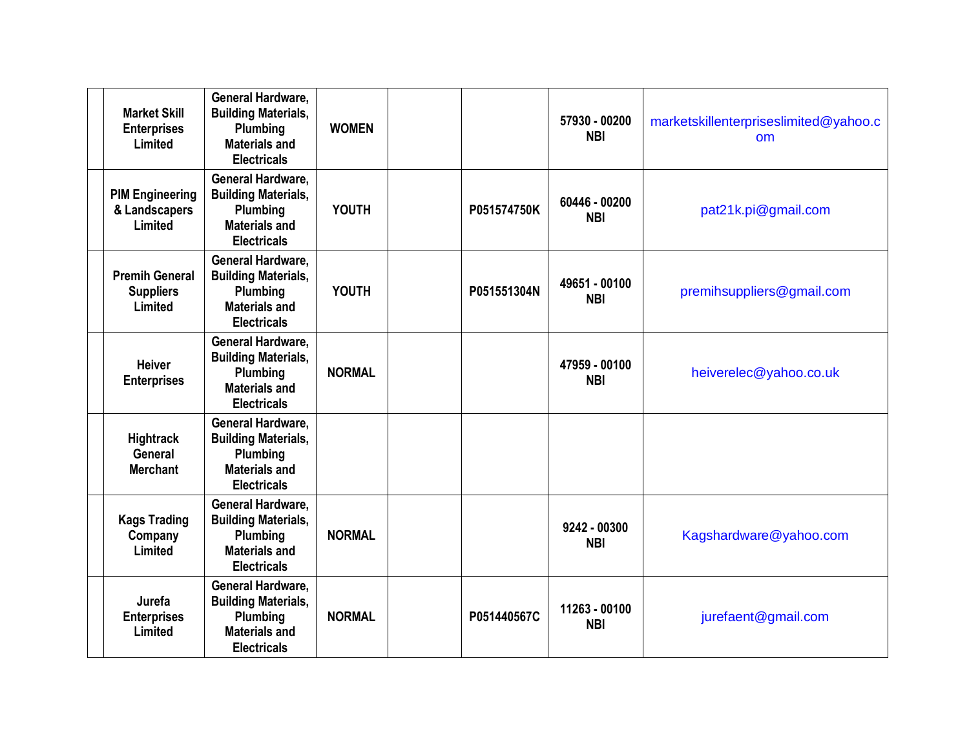| <b>Market Skill</b><br><b>Enterprises</b><br>Limited | <b>General Hardware.</b><br><b>Building Materials,</b><br>Plumbing<br><b>Materials and</b><br><b>Electricals</b> | <b>WOMEN</b>  |             | 57930 - 00200<br><b>NBI</b> | marketskillenterpriseslimited@yahoo.c<br>$\mathsf{nm}$ |
|------------------------------------------------------|------------------------------------------------------------------------------------------------------------------|---------------|-------------|-----------------------------|--------------------------------------------------------|
| <b>PIM Engineering</b><br>& Landscapers<br>Limited   | General Hardware,<br><b>Building Materials,</b><br>Plumbing<br><b>Materials and</b><br><b>Electricals</b>        | <b>YOUTH</b>  | P051574750K | 60446 - 00200<br><b>NBI</b> | pat21k.pi@gmail.com                                    |
| <b>Premih General</b><br><b>Suppliers</b><br>Limited | <b>General Hardware.</b><br><b>Building Materials,</b><br>Plumbing<br><b>Materials and</b><br><b>Electricals</b> | <b>YOUTH</b>  | P051551304N | 49651 - 00100<br><b>NBI</b> | premihsuppliers@gmail.com                              |
| <b>Heiver</b><br><b>Enterprises</b>                  | General Hardware,<br><b>Building Materials,</b><br>Plumbing<br><b>Materials and</b><br><b>Electricals</b>        | <b>NORMAL</b> |             | 47959 - 00100<br><b>NBI</b> | heiverelec@yahoo.co.uk                                 |
| <b>Hightrack</b><br>General<br><b>Merchant</b>       | General Hardware,<br><b>Building Materials,</b><br>Plumbing<br><b>Materials and</b><br><b>Electricals</b>        |               |             |                             |                                                        |
| <b>Kags Trading</b><br>Company<br>Limited            | <b>General Hardware.</b><br><b>Building Materials,</b><br>Plumbing<br><b>Materials and</b><br><b>Electricals</b> | <b>NORMAL</b> |             | 9242 - 00300<br><b>NBI</b>  | Kagshardware@yahoo.com                                 |
| Jurefa<br><b>Enterprises</b><br>Limited              | <b>General Hardware,</b><br><b>Building Materials,</b><br>Plumbing<br><b>Materials and</b><br><b>Electricals</b> | <b>NORMAL</b> | P051440567C | 11263 - 00100<br><b>NBI</b> | jurefaent@gmail.com                                    |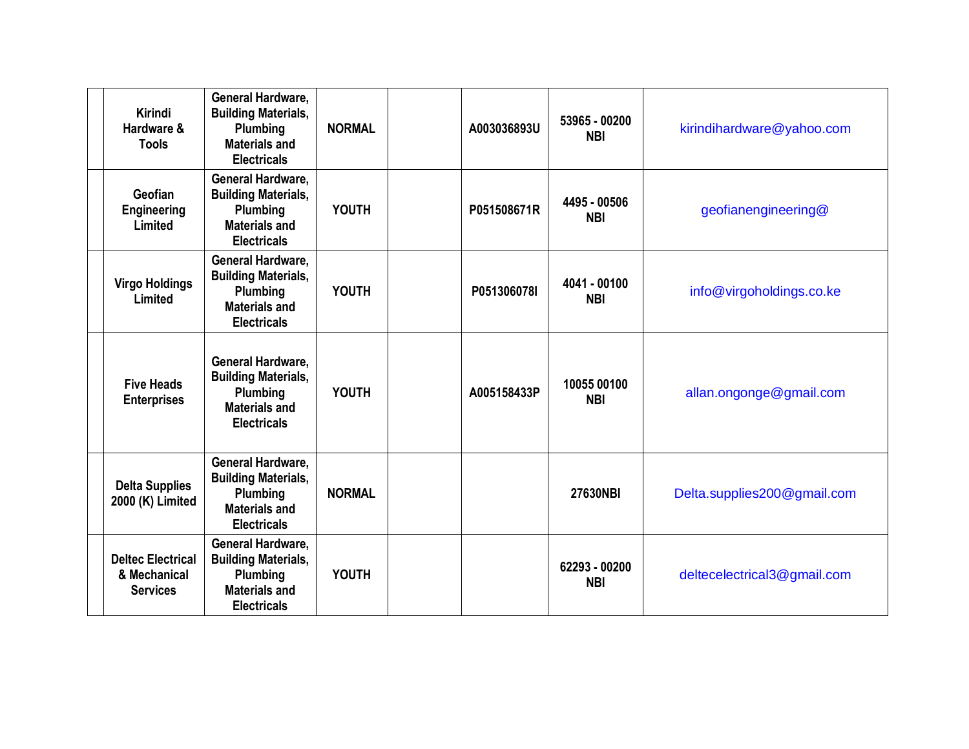| Kirindi<br>Hardware &<br><b>Tools</b>                       | General Hardware,<br><b>Building Materials,</b><br>Plumbing<br><b>Materials and</b><br><b>Electricals</b> | <b>NORMAL</b> | A003036893U | 53965 - 00200<br><b>NBI</b> | kirindihardware@yahoo.com   |
|-------------------------------------------------------------|-----------------------------------------------------------------------------------------------------------|---------------|-------------|-----------------------------|-----------------------------|
| Geofian<br><b>Engineering</b><br>Limited                    | General Hardware,<br><b>Building Materials,</b><br>Plumbing<br><b>Materials and</b><br><b>Electricals</b> | <b>YOUTH</b>  | P051508671R | 4495 - 00506<br><b>NBI</b>  | geofianengineering@         |
| <b>Virgo Holdings</b><br>Limited                            | General Hardware,<br><b>Building Materials,</b><br>Plumbing<br><b>Materials and</b><br><b>Electricals</b> | <b>YOUTH</b>  | P051306078I | 4041 - 00100<br><b>NBI</b>  | info@virgoholdings.co.ke    |
| <b>Five Heads</b><br><b>Enterprises</b>                     | General Hardware,<br><b>Building Materials,</b><br>Plumbing<br><b>Materials and</b><br><b>Electricals</b> | <b>YOUTH</b>  | A005158433P | 10055 00100<br><b>NBI</b>   | allan.ongonge@gmail.com     |
| <b>Delta Supplies</b><br>2000 (K) Limited                   | General Hardware,<br><b>Building Materials,</b><br>Plumbing<br><b>Materials and</b><br><b>Electricals</b> | <b>NORMAL</b> |             | 27630NBI                    | Delta.supplies200@gmail.com |
| <b>Deltec Electrical</b><br>& Mechanical<br><b>Services</b> | General Hardware,<br><b>Building Materials,</b><br>Plumbing<br><b>Materials and</b><br><b>Electricals</b> | <b>YOUTH</b>  |             | 62293 - 00200<br><b>NBI</b> | deltecelectrical3@gmail.com |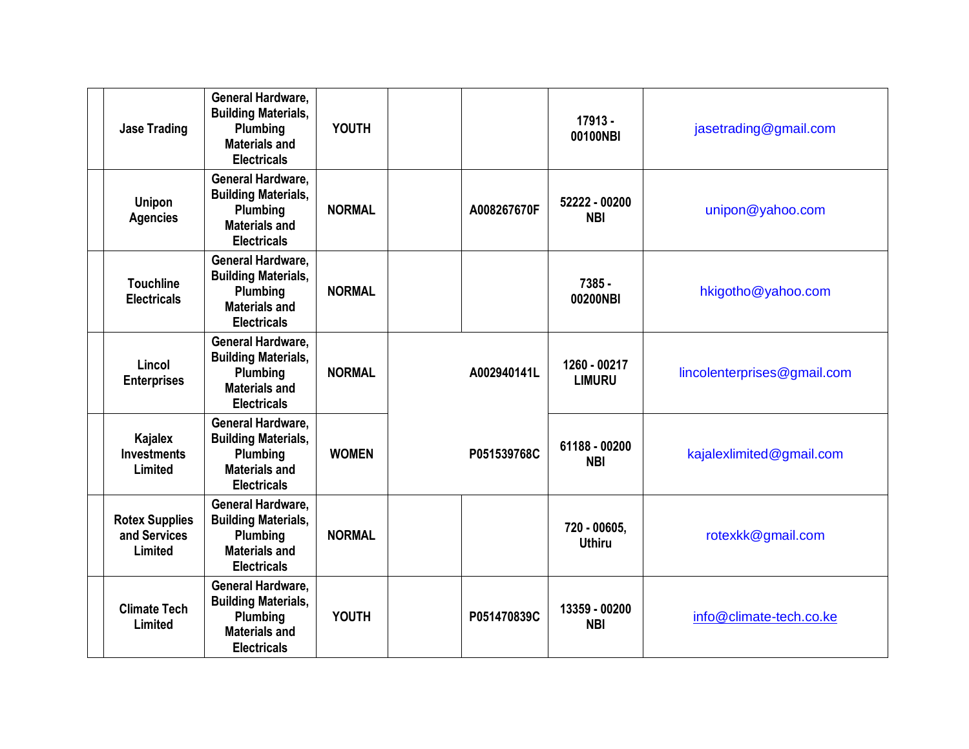| <b>Jase Trading</b>                              | General Hardware,<br><b>Building Materials,</b><br>Plumbing<br><b>Materials and</b><br><b>Electricals</b>        | <b>YOUTH</b>  |             | $17913 -$<br>00100NBI         | jasetrading@gmail.com       |
|--------------------------------------------------|------------------------------------------------------------------------------------------------------------------|---------------|-------------|-------------------------------|-----------------------------|
| <b>Unipon</b><br><b>Agencies</b>                 | General Hardware,<br><b>Building Materials,</b><br>Plumbing<br>Materials and<br><b>Electricals</b>               | <b>NORMAL</b> | A008267670F | 52222 - 00200<br><b>NBI</b>   | unipon@yahoo.com            |
| <b>Touchline</b><br><b>Electricals</b>           | General Hardware,<br><b>Building Materials,</b><br>Plumbing<br><b>Materials and</b><br><b>Electricals</b>        | <b>NORMAL</b> |             | $7385 -$<br>00200NBI          | hkigotho@yahoo.com          |
| Lincol<br><b>Enterprises</b>                     | General Hardware,<br><b>Building Materials,</b><br>Plumbing<br><b>Materials and</b><br><b>Electricals</b>        | <b>NORMAL</b> | A002940141L | 1260 - 00217<br><b>LIMURU</b> | lincolenterprises@gmail.com |
| Kajalex<br><b>Investments</b><br>Limited         | General Hardware,<br><b>Building Materials,</b><br>Plumbing<br><b>Materials and</b><br><b>Electricals</b>        | <b>WOMEN</b>  | P051539768C | 61188 - 00200<br><b>NBI</b>   | kajalexlimited@gmail.com    |
| <b>Rotex Supplies</b><br>and Services<br>Limited | <b>General Hardware.</b><br><b>Building Materials,</b><br>Plumbing<br><b>Materials and</b><br><b>Electricals</b> | <b>NORMAL</b> |             | 720 - 00605,<br><b>Uthiru</b> | rotexkk@gmail.com           |
| <b>Climate Tech</b><br>Limited                   | General Hardware,<br><b>Building Materials,</b><br>Plumbing<br><b>Materials and</b><br><b>Electricals</b>        | <b>YOUTH</b>  | P051470839C | 13359 - 00200<br><b>NBI</b>   | info@climate-tech.co.ke     |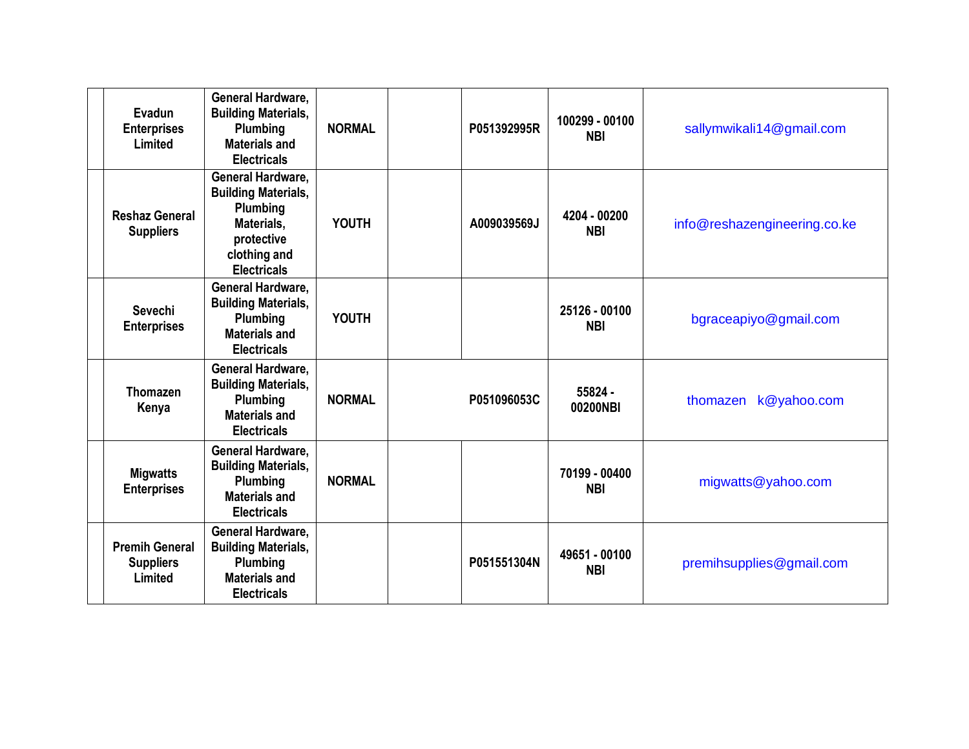| Evadun<br><b>Enterprises</b><br>Limited              | General Hardware,<br><b>Building Materials,</b><br>Plumbing<br><b>Materials and</b><br><b>Electricals</b>                     | <b>NORMAL</b> | P051392995R | 100299 - 00100<br><b>NBI</b> | sallymwikali14@gmail.com     |
|------------------------------------------------------|-------------------------------------------------------------------------------------------------------------------------------|---------------|-------------|------------------------------|------------------------------|
| <b>Reshaz General</b><br><b>Suppliers</b>            | General Hardware,<br><b>Building Materials,</b><br>Plumbing<br>Materials,<br>protective<br>clothing and<br><b>Electricals</b> | YOUTH         | A009039569J | 4204 - 00200<br><b>NBI</b>   | info@reshazengineering.co.ke |
| Sevechi<br><b>Enterprises</b>                        | General Hardware,<br><b>Building Materials,</b><br>Plumbing<br><b>Materials and</b><br><b>Electricals</b>                     | <b>YOUTH</b>  |             | 25126 - 00100<br><b>NBI</b>  | bgraceapiyo@gmail.com        |
| <b>Thomazen</b><br>Kenya                             | General Hardware,<br><b>Building Materials,</b><br>Plumbing<br><b>Materials and</b><br><b>Electricals</b>                     | <b>NORMAL</b> | P051096053C | 55824 -<br>00200NBI          | k@yahoo.com<br>thomazen      |
| <b>Migwatts</b><br><b>Enterprises</b>                | General Hardware,<br><b>Building Materials,</b><br>Plumbing<br><b>Materials and</b><br><b>Electricals</b>                     | <b>NORMAL</b> |             | 70199 - 00400<br><b>NBI</b>  | migwatts@yahoo.com           |
| <b>Premih General</b><br><b>Suppliers</b><br>Limited | General Hardware,<br><b>Building Materials,</b><br>Plumbing<br><b>Materials and</b><br><b>Electricals</b>                     |               | P051551304N | 49651 - 00100<br><b>NBI</b>  | premihsupplies@gmail.com     |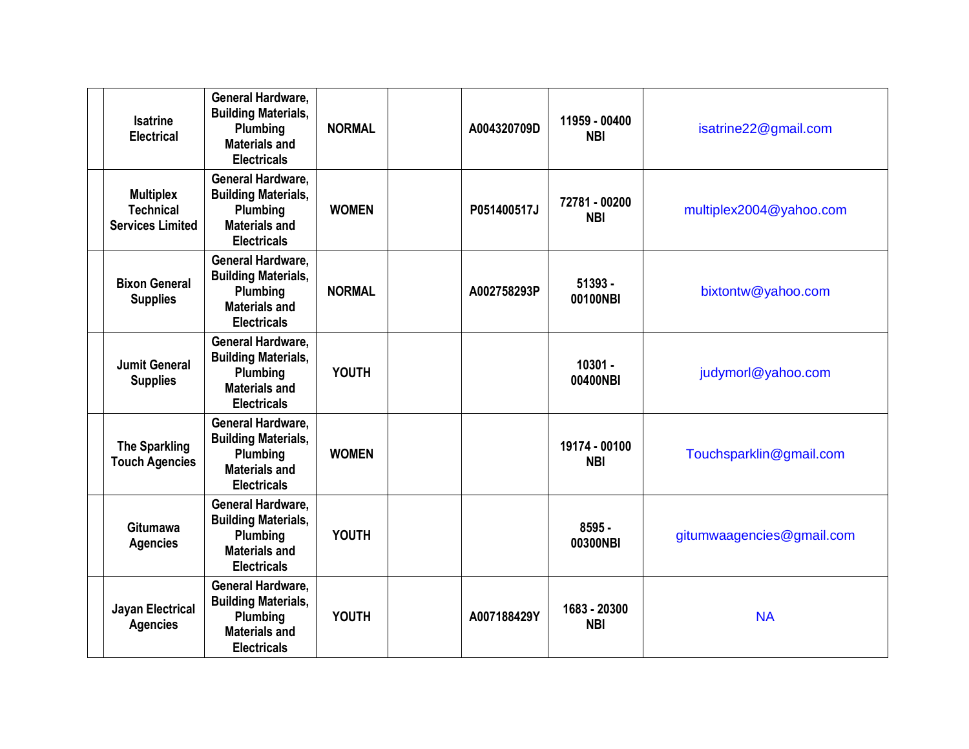| <b>Isatrine</b><br><b>Electrical</b>                            | <b>General Hardware,</b><br><b>Building Materials,</b><br>Plumbing<br><b>Materials and</b><br><b>Electricals</b> | <b>NORMAL</b> | A004320709D | 11959 - 00400<br><b>NBI</b> | isatrine22@gmail.com      |
|-----------------------------------------------------------------|------------------------------------------------------------------------------------------------------------------|---------------|-------------|-----------------------------|---------------------------|
| <b>Multiplex</b><br><b>Technical</b><br><b>Services Limited</b> | General Hardware,<br><b>Building Materials,</b><br>Plumbing<br><b>Materials and</b><br><b>Electricals</b>        | <b>WOMEN</b>  | P051400517J | 72781 - 00200<br><b>NBI</b> | multiplex2004@yahoo.com   |
| <b>Bixon General</b><br><b>Supplies</b>                         | General Hardware,<br><b>Building Materials,</b><br>Plumbing<br><b>Materials and</b><br><b>Electricals</b>        | <b>NORMAL</b> | A002758293P | $51393 -$<br>00100NBI       | bixtontw@yahoo.com        |
| <b>Jumit General</b><br><b>Supplies</b>                         | <b>General Hardware.</b><br><b>Building Materials,</b><br>Plumbing<br><b>Materials and</b><br><b>Electricals</b> | <b>YOUTH</b>  |             | $10301 -$<br>00400NBI       | judymorl@yahoo.com        |
| <b>The Sparkling</b><br><b>Touch Agencies</b>                   | General Hardware,<br><b>Building Materials,</b><br>Plumbing<br><b>Materials and</b><br><b>Electricals</b>        | <b>WOMEN</b>  |             | 19174 - 00100<br><b>NBI</b> | Touchsparklin@gmail.com   |
| <b>Gitumawa</b><br><b>Agencies</b>                              | <b>General Hardware,</b><br><b>Building Materials,</b><br>Plumbing<br><b>Materials and</b><br><b>Electricals</b> | <b>YOUTH</b>  |             | $8595 -$<br>00300NBI        | gitumwaagencies@gmail.com |
| <b>Jayan Electrical</b><br><b>Agencies</b>                      | General Hardware,<br><b>Building Materials,</b><br>Plumbing<br><b>Materials and</b><br><b>Electricals</b>        | <b>YOUTH</b>  | A007188429Y | 1683 - 20300<br><b>NBI</b>  | <b>NA</b>                 |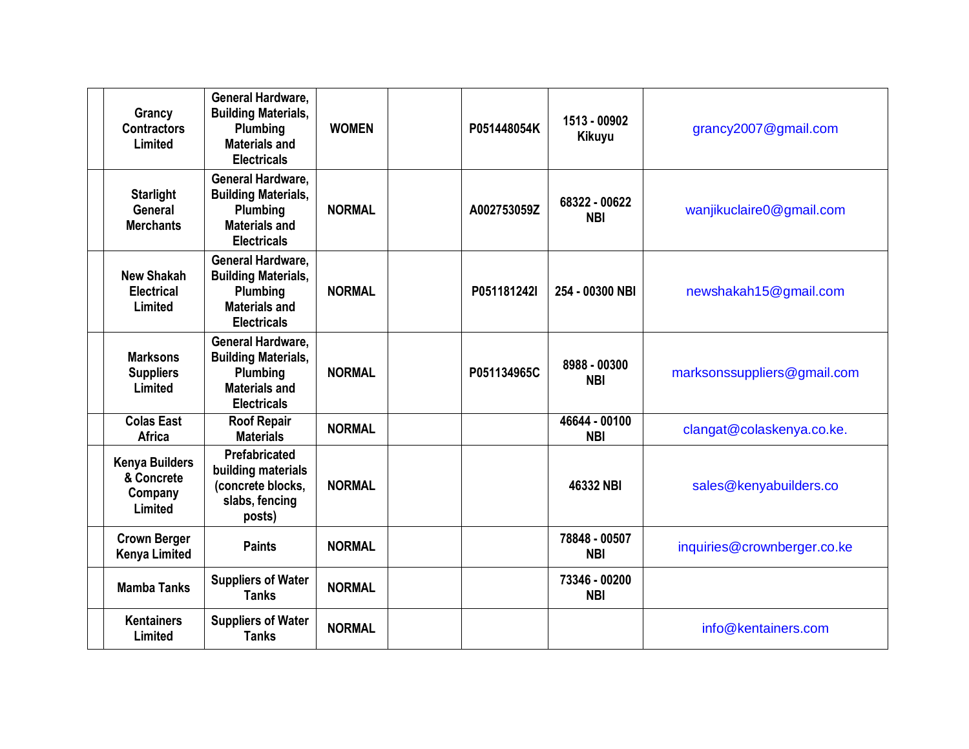| Grancy<br><b>Contractors</b><br>Limited                   | General Hardware,<br><b>Building Materials,</b><br>Plumbing<br><b>Materials and</b><br><b>Electricals</b>        | <b>WOMEN</b>  | P051448054K | 1513 - 00902<br><b>Kikuyu</b> | grancy2007@gmail.com        |
|-----------------------------------------------------------|------------------------------------------------------------------------------------------------------------------|---------------|-------------|-------------------------------|-----------------------------|
| <b>Starlight</b><br>General<br><b>Merchants</b>           | <b>General Hardware.</b><br><b>Building Materials,</b><br>Plumbing<br><b>Materials and</b><br><b>Electricals</b> | <b>NORMAL</b> | A002753059Z | 68322 - 00622<br><b>NBI</b>   | wanjikuclaire0@gmail.com    |
| <b>New Shakah</b><br><b>Electrical</b><br>Limited         | <b>General Hardware.</b><br><b>Building Materials,</b><br>Plumbing<br><b>Materials and</b><br><b>Electricals</b> | <b>NORMAL</b> | P051181242I | 254 - 00300 NBI               | newshakah15@gmail.com       |
| <b>Marksons</b><br><b>Suppliers</b><br>Limited            | General Hardware,<br><b>Building Materials,</b><br>Plumbing<br><b>Materials and</b><br><b>Electricals</b>        | <b>NORMAL</b> | P051134965C | 8988 - 00300<br><b>NBI</b>    | marksonssuppliers@gmail.com |
| <b>Colas East</b><br><b>Africa</b>                        | <b>Roof Repair</b><br><b>Materials</b>                                                                           | <b>NORMAL</b> |             | 46644 - 00100<br><b>NBI</b>   | clangat@colaskenya.co.ke.   |
| <b>Kenya Builders</b><br>& Concrete<br>Company<br>Limited | Prefabricated<br>building materials<br>(concrete blocks,<br>slabs, fencing<br>posts)                             | <b>NORMAL</b> |             | 46332 NBI                     | sales@kenyabuilders.co      |
| <b>Crown Berger</b><br><b>Kenya Limited</b>               | <b>Paints</b>                                                                                                    | <b>NORMAL</b> |             | 78848 - 00507<br><b>NBI</b>   | inquiries@crownberger.co.ke |
| <b>Mamba Tanks</b>                                        | <b>Suppliers of Water</b><br><b>Tanks</b>                                                                        | <b>NORMAL</b> |             | 73346 - 00200<br><b>NBI</b>   |                             |
| <b>Kentainers</b><br>Limited                              | <b>Suppliers of Water</b><br><b>Tanks</b>                                                                        | <b>NORMAL</b> |             |                               | info@kentainers.com         |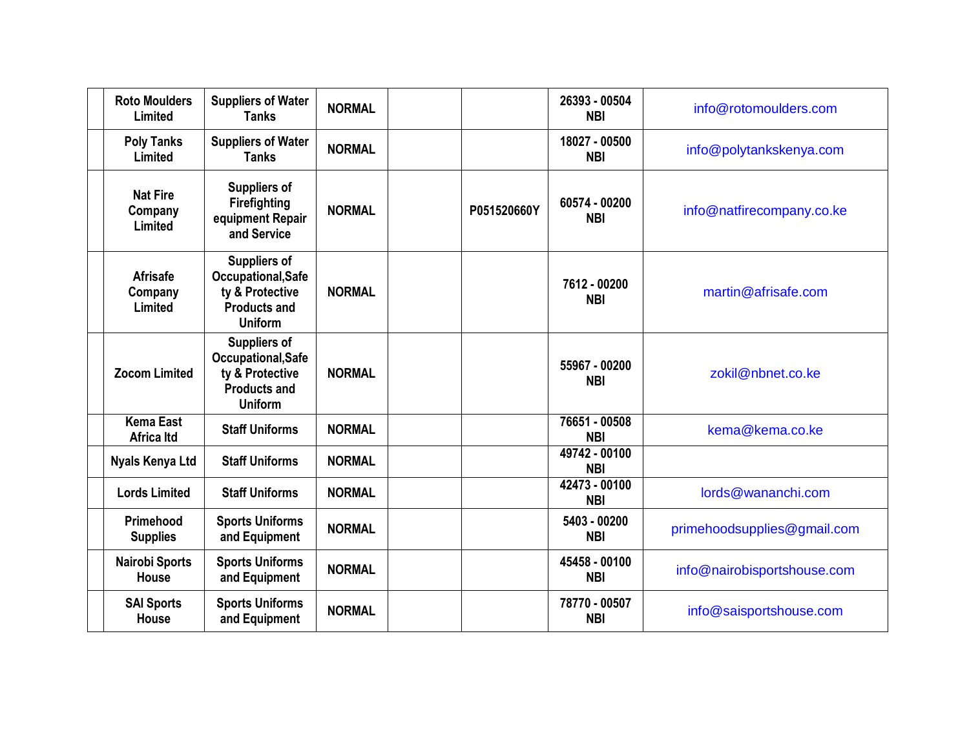| <b>Roto Moulders</b><br>Limited       | <b>Suppliers of Water</b><br><b>Tanks</b>                                                             | <b>NORMAL</b> |             | 26393 - 00504<br><b>NBI</b> | info@rotomoulders.com       |
|---------------------------------------|-------------------------------------------------------------------------------------------------------|---------------|-------------|-----------------------------|-----------------------------|
| <b>Poly Tanks</b><br>Limited          | <b>Suppliers of Water</b><br><b>Tanks</b>                                                             | <b>NORMAL</b> |             | 18027 - 00500<br><b>NBI</b> | info@polytankskenya.com     |
| <b>Nat Fire</b><br>Company<br>Limited | <b>Suppliers of</b><br><b>Firefighting</b><br>equipment Repair<br>and Service                         | <b>NORMAL</b> | P051520660Y | 60574 - 00200<br><b>NBI</b> | info@natfirecompany.co.ke   |
| <b>Afrisafe</b><br>Company<br>Limited | <b>Suppliers of</b><br>Occupational, Safe<br>ty & Protective<br><b>Products and</b><br><b>Uniform</b> | <b>NORMAL</b> |             | 7612 - 00200<br><b>NBI</b>  | martin@afrisafe.com         |
| <b>Zocom Limited</b>                  | <b>Suppliers of</b><br>Occupational, Safe<br>ty & Protective<br><b>Products and</b><br><b>Uniform</b> | <b>NORMAL</b> |             | 55967 - 00200<br><b>NBI</b> | zokil@nbnet.co.ke           |
| <b>Kema East</b><br><b>Africa Itd</b> | <b>Staff Uniforms</b>                                                                                 | <b>NORMAL</b> |             | 76651 - 00508<br><b>NBI</b> | kema@kema.co.ke             |
| <b>Nyals Kenya Ltd</b>                | <b>Staff Uniforms</b>                                                                                 | <b>NORMAL</b> |             | 49742 - 00100<br><b>NBI</b> |                             |
| <b>Lords Limited</b>                  | <b>Staff Uniforms</b>                                                                                 | <b>NORMAL</b> |             | 42473 - 00100<br><b>NBI</b> | lords@wananchi.com          |
| Primehood<br><b>Supplies</b>          | <b>Sports Uniforms</b><br>and Equipment                                                               | <b>NORMAL</b> |             | 5403 - 00200<br><b>NBI</b>  | primehoodsupplies@gmail.com |
| <b>Nairobi Sports</b><br><b>House</b> | <b>Sports Uniforms</b><br>and Equipment                                                               | <b>NORMAL</b> |             | 45458 - 00100<br><b>NBI</b> | info@nairobisportshouse.com |
| <b>SAI Sports</b><br>House            | <b>Sports Uniforms</b><br>and Equipment                                                               | <b>NORMAL</b> |             | 78770 - 00507<br><b>NBI</b> | info@saisportshouse.com     |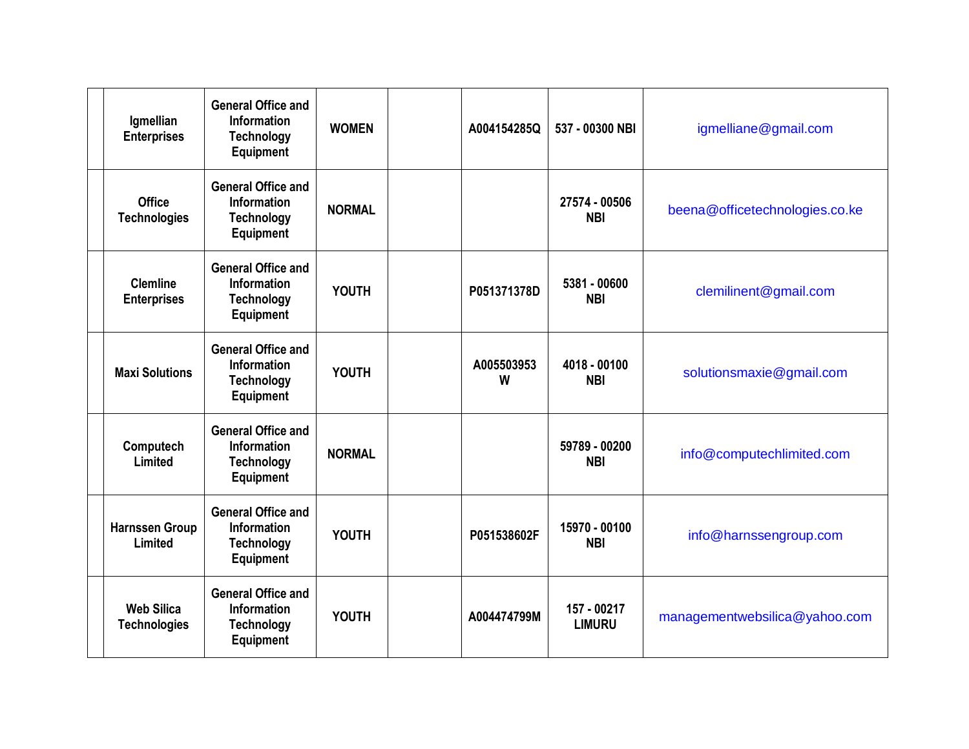| Igmellian                                | <b>General Office and</b><br><b>Information</b>                                          | <b>WOMEN</b>  | A004154285Q     | 537 - 00300 NBI              | igmelliane@gmail.com           |
|------------------------------------------|------------------------------------------------------------------------------------------|---------------|-----------------|------------------------------|--------------------------------|
| <b>Enterprises</b>                       | <b>Technology</b><br><b>Equipment</b>                                                    |               |                 |                              |                                |
| <b>Office</b><br><b>Technologies</b>     | <b>General Office and</b><br>Information<br><b>Technology</b><br>Equipment               | <b>NORMAL</b> |                 | 27574 - 00506<br><b>NBI</b>  | beena@officetechnologies.co.ke |
| <b>Clemline</b><br><b>Enterprises</b>    | <b>General Office and</b><br><b>Information</b><br><b>Technology</b><br><b>Equipment</b> | <b>YOUTH</b>  | P051371378D     | 5381 - 00600<br><b>NBI</b>   | clemilinent@gmail.com          |
| <b>Maxi Solutions</b>                    | <b>General Office and</b><br><b>Information</b><br><b>Technology</b><br>Equipment        | <b>YOUTH</b>  | A005503953<br>W | 4018 - 00100<br><b>NBI</b>   | solutionsmaxie@gmail.com       |
| Computech<br>Limited                     | <b>General Office and</b><br><b>Information</b><br><b>Technology</b><br><b>Equipment</b> | <b>NORMAL</b> |                 | 59789 - 00200<br><b>NBI</b>  | info@computechlimited.com      |
| <b>Harnssen Group</b><br>Limited         | <b>General Office and</b><br><b>Information</b><br><b>Technology</b><br><b>Equipment</b> | <b>YOUTH</b>  | P051538602F     | 15970 - 00100<br><b>NBI</b>  | info@harnssengroup.com         |
| <b>Web Silica</b><br><b>Technologies</b> | <b>General Office and</b><br><b>Information</b><br><b>Technology</b><br>Equipment        | <b>YOUTH</b>  | A004474799M     | 157 - 00217<br><b>LIMURU</b> | managementwebsilica@yahoo.com  |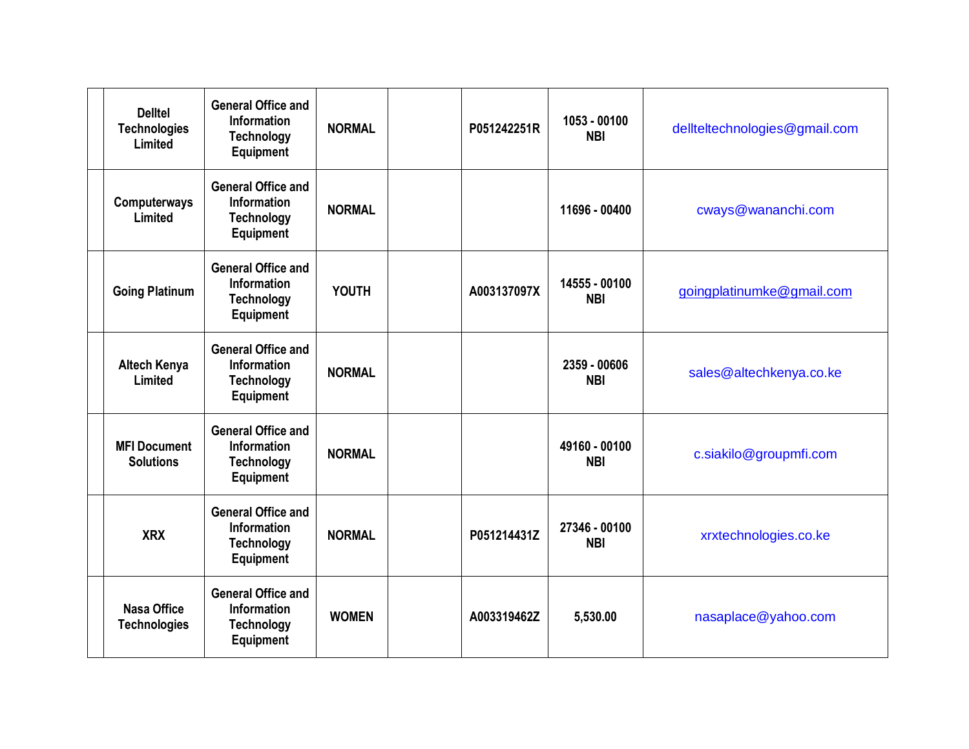| <b>Delltel</b><br><b>Technologies</b><br>Limited | <b>General Office and</b><br><b>Information</b><br><b>Technology</b><br><b>Equipment</b> | <b>NORMAL</b> | P051242251R | 1053 - 00100<br><b>NBI</b>  | dellteltechnologies@gmail.com |
|--------------------------------------------------|------------------------------------------------------------------------------------------|---------------|-------------|-----------------------------|-------------------------------|
| Computerways<br>Limited                          | <b>General Office and</b><br>Information<br><b>Technology</b><br><b>Equipment</b>        | <b>NORMAL</b> |             | 11696 - 00400               | cways@wananchi.com            |
| <b>Going Platinum</b>                            | <b>General Office and</b><br><b>Information</b><br><b>Technology</b><br><b>Equipment</b> | <b>YOUTH</b>  | A003137097X | 14555 - 00100<br><b>NBI</b> | goingplatinumke@gmail.com     |
| <b>Altech Kenya</b><br>Limited                   | <b>General Office and</b><br><b>Information</b><br><b>Technology</b><br><b>Equipment</b> | <b>NORMAL</b> |             | 2359 - 00606<br><b>NBI</b>  | sales@altechkenya.co.ke       |
| <b>MFI Document</b><br><b>Solutions</b>          | <b>General Office and</b><br><b>Information</b><br><b>Technology</b><br><b>Equipment</b> | <b>NORMAL</b> |             | 49160 - 00100<br><b>NBI</b> | c.siakilo@groupmfi.com        |
| <b>XRX</b>                                       | <b>General Office and</b><br><b>Information</b><br><b>Technology</b><br><b>Equipment</b> | <b>NORMAL</b> | P051214431Z | 27346 - 00100<br><b>NBI</b> | xrxtechnologies.co.ke         |
| <b>Nasa Office</b><br><b>Technologies</b>        | <b>General Office and</b><br><b>Information</b><br><b>Technology</b><br><b>Equipment</b> | <b>WOMEN</b>  | A003319462Z | 5,530.00                    | nasaplace@yahoo.com           |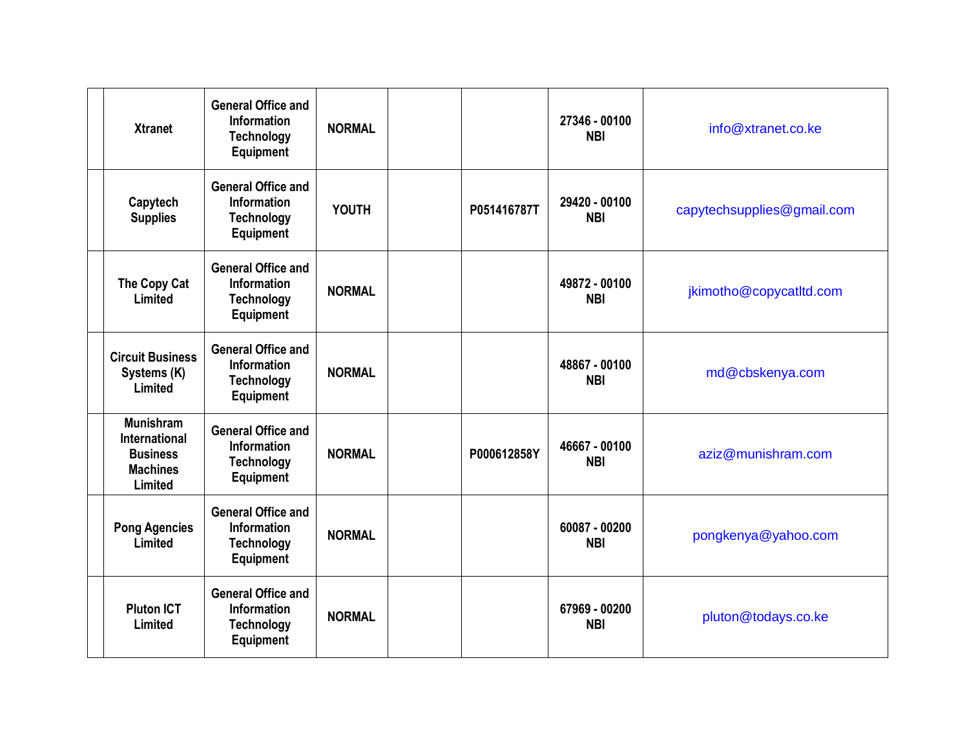| <b>Xtranet</b>                                                                            | <b>General Office and</b><br><b>Information</b><br><b>Technology</b><br><b>Equipment</b> | <b>NORMAL</b> |             | 27346 - 00100<br><b>NBI</b> | info@xtranet.co.ke         |
|-------------------------------------------------------------------------------------------|------------------------------------------------------------------------------------------|---------------|-------------|-----------------------------|----------------------------|
| Capytech<br><b>Supplies</b>                                                               | <b>General Office and</b><br>Information<br><b>Technology</b><br>Equipment               | <b>YOUTH</b>  | P051416787T | 29420 - 00100<br><b>NBI</b> | capytechsupplies@gmail.com |
| The Copy Cat<br>Limited                                                                   | <b>General Office and</b><br><b>Information</b><br><b>Technology</b><br><b>Equipment</b> | <b>NORMAL</b> |             | 49872 - 00100<br><b>NBI</b> | jkimotho@copycatltd.com    |
| <b>Circuit Business</b><br>Systems (K)<br>Limited                                         | <b>General Office and</b><br><b>Information</b><br><b>Technology</b><br>Equipment        | <b>NORMAL</b> |             | 48867 - 00100<br><b>NBI</b> | md@cbskenya.com            |
| <b>Munishram</b><br><b>International</b><br><b>Business</b><br><b>Machines</b><br>Limited | <b>General Office and</b><br><b>Information</b><br><b>Technology</b><br>Equipment        | <b>NORMAL</b> | P000612858Y | 46667 - 00100<br><b>NBI</b> | aziz@munishram.com         |
| <b>Pong Agencies</b><br>Limited                                                           | <b>General Office and</b><br><b>Information</b><br><b>Technology</b><br><b>Equipment</b> | <b>NORMAL</b> |             | 60087 - 00200<br><b>NBI</b> | pongkenya@yahoo.com        |
| <b>Pluton ICT</b><br>Limited                                                              | <b>General Office and</b><br><b>Information</b><br><b>Technology</b><br>Equipment        | <b>NORMAL</b> |             | 67969 - 00200<br><b>NBI</b> | pluton@todays.co.ke        |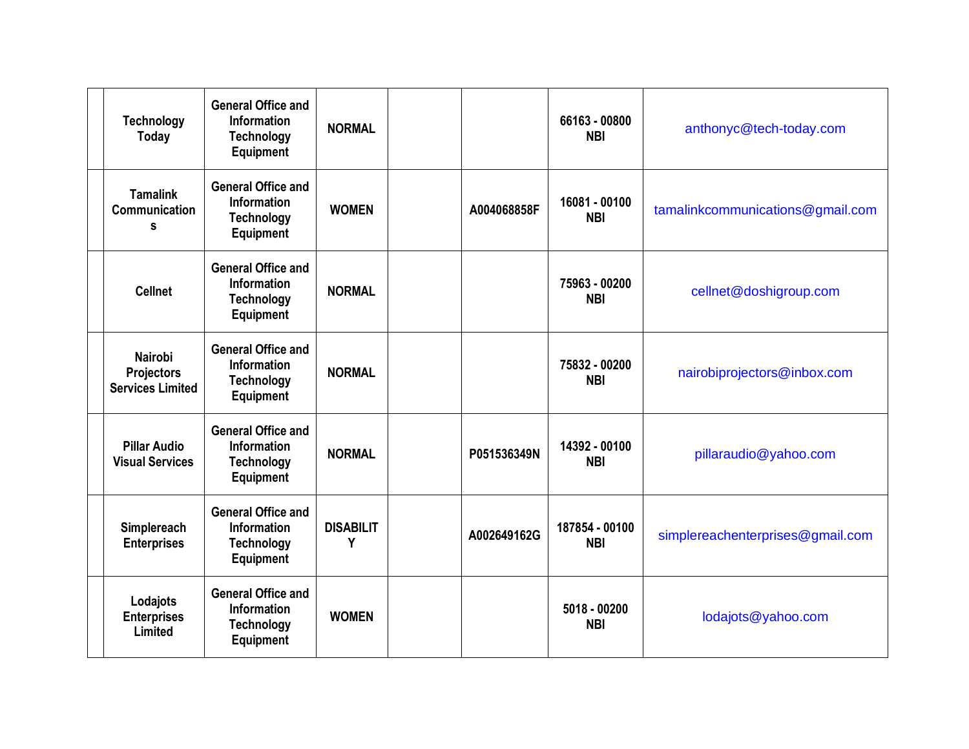| <b>Technology</b><br><b>Today</b>                              | <b>General Office and</b><br><b>Information</b><br><b>Technology</b><br><b>Equipment</b> | <b>NORMAL</b>         |             | 66163 - 00800<br><b>NBI</b>  | anthonyc@tech-today.com          |
|----------------------------------------------------------------|------------------------------------------------------------------------------------------|-----------------------|-------------|------------------------------|----------------------------------|
| <b>Tamalink</b><br><b>Communication</b><br>s                   | <b>General Office and</b><br>Information<br><b>Technology</b><br>Equipment               | <b>WOMEN</b>          | A004068858F | 16081 - 00100<br><b>NBI</b>  | tamalinkcommunications@gmail.com |
| <b>Cellnet</b>                                                 | <b>General Office and</b><br><b>Information</b><br><b>Technology</b><br><b>Equipment</b> | <b>NORMAL</b>         |             | 75963 - 00200<br><b>NBI</b>  | cellnet@doshigroup.com           |
| <b>Nairobi</b><br><b>Projectors</b><br><b>Services Limited</b> | <b>General Office and</b><br><b>Information</b><br><b>Technology</b><br>Equipment        | <b>NORMAL</b>         |             | 75832 - 00200<br><b>NBI</b>  | nairobiprojectors@inbox.com      |
| <b>Pillar Audio</b><br><b>Visual Services</b>                  | <b>General Office and</b><br><b>Information</b><br><b>Technology</b><br><b>Equipment</b> | <b>NORMAL</b>         | P051536349N | 14392 - 00100<br><b>NBI</b>  | pillaraudio@yahoo.com            |
| Simplereach<br><b>Enterprises</b>                              | <b>General Office and</b><br><b>Information</b><br><b>Technology</b><br><b>Equipment</b> | <b>DISABILIT</b><br>Y | A002649162G | 187854 - 00100<br><b>NBI</b> | simplereachenterprises@gmail.com |
| Lodajots<br><b>Enterprises</b><br>Limited                      | <b>General Office and</b><br><b>Information</b><br><b>Technology</b><br>Equipment        | <b>WOMEN</b>          |             | 5018 - 00200<br><b>NBI</b>   | lodajots@yahoo.com               |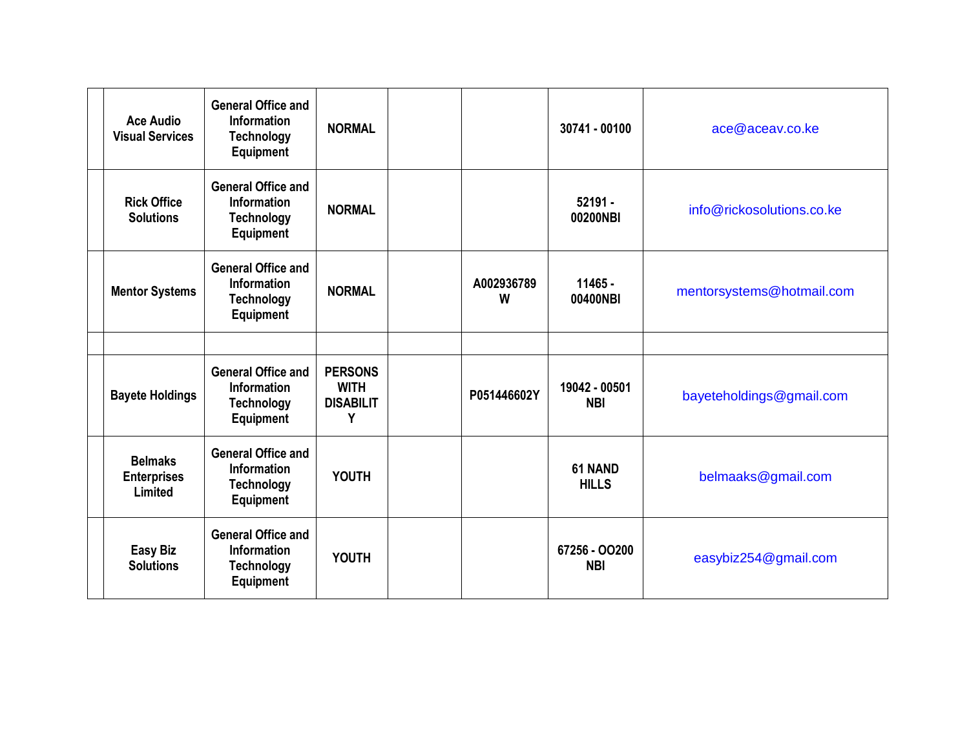| <b>Ace Audio</b><br><b>Visual Services</b>      | <b>General Office and</b><br><b>Information</b><br><b>Technology</b><br><b>Equipment</b> | <b>NORMAL</b>                                          |                 | 30741 - 00100               | ace@aceav.coke            |
|-------------------------------------------------|------------------------------------------------------------------------------------------|--------------------------------------------------------|-----------------|-----------------------------|---------------------------|
| <b>Rick Office</b><br><b>Solutions</b>          | <b>General Office and</b><br><b>Information</b><br><b>Technology</b><br><b>Equipment</b> | <b>NORMAL</b>                                          |                 | $52191 -$<br>00200NBI       | info@rickosolutions.co.ke |
| <b>Mentor Systems</b>                           | <b>General Office and</b><br><b>Information</b><br><b>Technology</b><br><b>Equipment</b> | <b>NORMAL</b>                                          | A002936789<br>W | 11465 -<br>00400NBI         | mentorsystems@hotmail.com |
|                                                 |                                                                                          |                                                        |                 |                             |                           |
| <b>Bayete Holdings</b>                          | <b>General Office and</b><br><b>Information</b><br><b>Technology</b><br><b>Equipment</b> | <b>PERSONS</b><br><b>WITH</b><br><b>DISABILIT</b><br>Y | P051446602Y     | 19042 - 00501<br><b>NBI</b> | bayeteholdings@gmail.com  |
| <b>Belmaks</b><br><b>Enterprises</b><br>Limited | <b>General Office and</b><br><b>Information</b><br><b>Technology</b><br><b>Equipment</b> | <b>YOUTH</b>                                           |                 | 61 NAND<br><b>HILLS</b>     | belmaaks@gmail.com        |
| <b>Easy Biz</b><br><b>Solutions</b>             | <b>General Office and</b><br><b>Information</b><br><b>Technology</b><br>Equipment        | <b>YOUTH</b>                                           |                 | 67256 - 00200<br><b>NBI</b> | easybiz254@gmail.com      |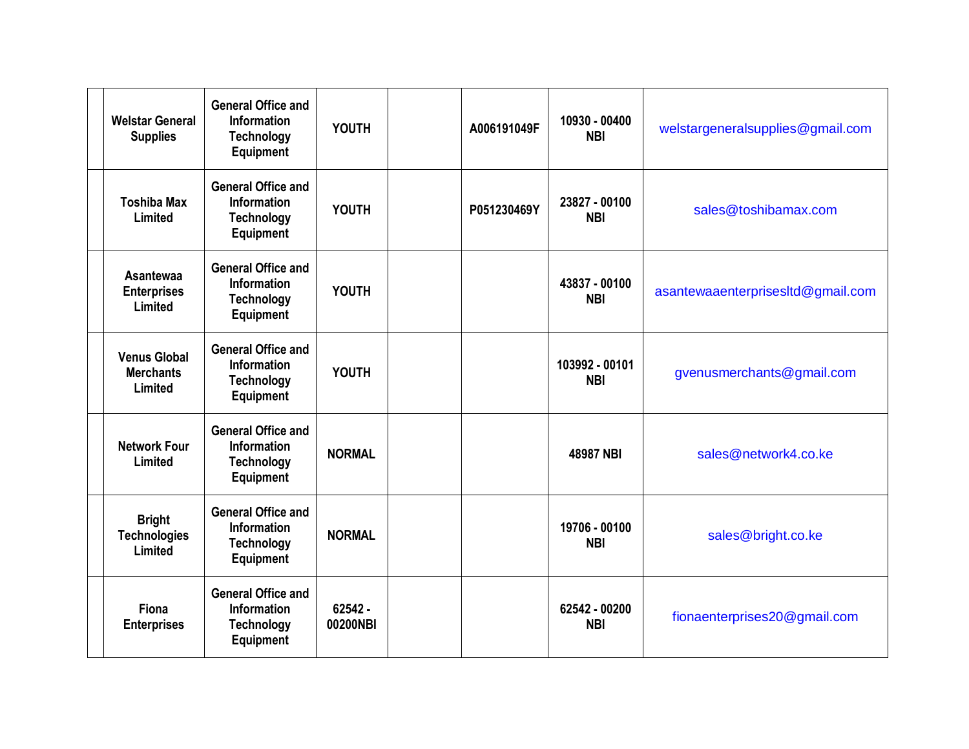| <b>Welstar General</b><br><b>Supplies</b>          | <b>General Office and</b><br><b>Information</b><br><b>Technology</b><br><b>Equipment</b> | <b>YOUTH</b>        | A006191049F | 10930 - 00400<br><b>NBI</b>  | welstargeneralsupplies@gmail.com  |
|----------------------------------------------------|------------------------------------------------------------------------------------------|---------------------|-------------|------------------------------|-----------------------------------|
| <b>Toshiba Max</b><br>Limited                      | <b>General Office and</b><br>Information<br><b>Technology</b><br><b>Equipment</b>        | <b>YOUTH</b>        | P051230469Y | 23827 - 00100<br><b>NBI</b>  | sales@toshibamax.com              |
| <b>Asantewaa</b><br><b>Enterprises</b><br>Limited  | <b>General Office and</b><br><b>Information</b><br><b>Technology</b><br><b>Equipment</b> | <b>YOUTH</b>        |             | 43837 - 00100<br><b>NBI</b>  | asantewaaenterprisesItd@gmail.com |
| <b>Venus Global</b><br><b>Merchants</b><br>Limited | <b>General Office and</b><br>Information<br><b>Technology</b><br><b>Equipment</b>        | <b>YOUTH</b>        |             | 103992 - 00101<br><b>NBI</b> | gvenusmerchants@gmail.com         |
| <b>Network Four</b><br>Limited                     | <b>General Office and</b><br><b>Information</b><br><b>Technology</b><br><b>Equipment</b> | <b>NORMAL</b>       |             | 48987 NBI                    | sales@network4.co.ke              |
| <b>Bright</b><br><b>Technologies</b><br>Limited    | <b>General Office and</b><br>Information<br><b>Technology</b><br><b>Equipment</b>        | <b>NORMAL</b>       |             | 19706 - 00100<br><b>NBI</b>  | sales@bright.co.ke                |
| Fiona<br><b>Enterprises</b>                        | <b>General Office and</b><br>Information<br><b>Technology</b><br><b>Equipment</b>        | 62542 -<br>00200NBI |             | 62542 - 00200<br><b>NBI</b>  | fionaenterprises20@gmail.com      |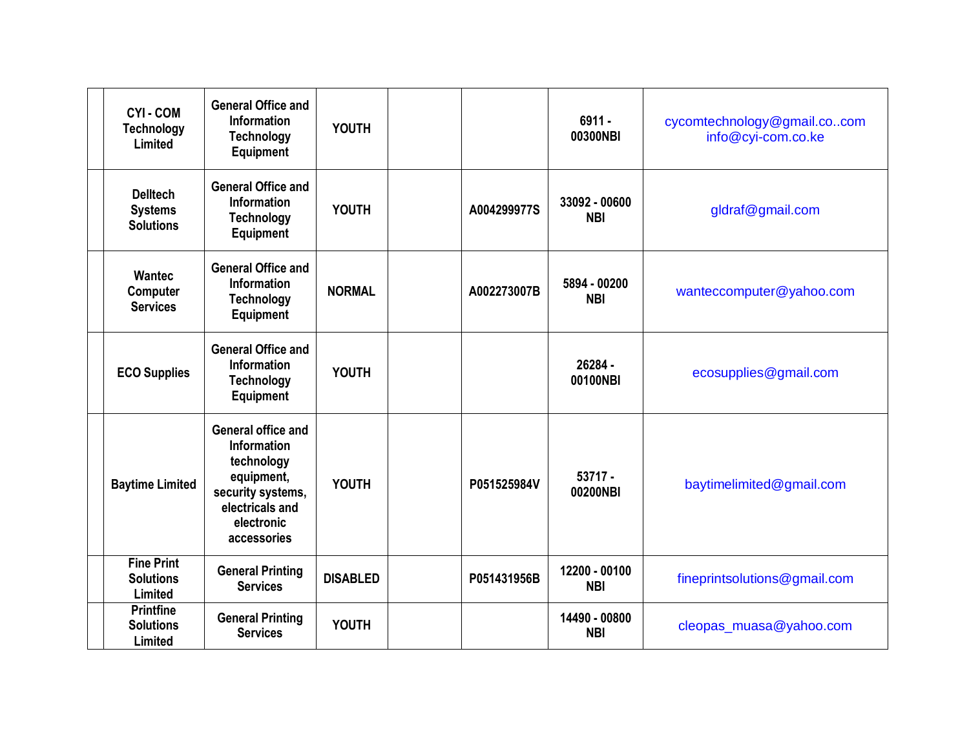| <b>CYI-COM</b><br><b>Technology</b><br>Limited        | <b>General Office and</b><br><b>Information</b><br><b>Technology</b><br>Equipment                                                                | <b>YOUTH</b>    |             | $6911 -$<br>00300NBI        | cycomtechnology@gmail.cocom<br>info@cyi-com.co.ke |
|-------------------------------------------------------|--------------------------------------------------------------------------------------------------------------------------------------------------|-----------------|-------------|-----------------------------|---------------------------------------------------|
| <b>Delltech</b><br><b>Systems</b><br><b>Solutions</b> | <b>General Office and</b><br><b>Information</b><br><b>Technology</b><br><b>Equipment</b>                                                         | <b>YOUTH</b>    | A004299977S | 33092 - 00600<br><b>NBI</b> | gldraf@gmail.com                                  |
| <b>Wantec</b><br>Computer<br><b>Services</b>          | <b>General Office and</b><br><b>Information</b><br><b>Technology</b><br><b>Equipment</b>                                                         | <b>NORMAL</b>   | A002273007B | 5894 - 00200<br><b>NBI</b>  | wanteccomputer@yahoo.com                          |
| <b>ECO Supplies</b>                                   | <b>General Office and</b><br><b>Information</b><br><b>Technology</b><br><b>Equipment</b>                                                         | <b>YOUTH</b>    |             | 26284 -<br>00100NBI         | ecosupplies@gmail.com                             |
| <b>Baytime Limited</b>                                | <b>General office and</b><br><b>Information</b><br>technology<br>equipment,<br>security systems,<br>electricals and<br>electronic<br>accessories | <b>YOUTH</b>    | P051525984V | $53717 -$<br>00200NBI       | baytimelimited@gmail.com                          |
| <b>Fine Print</b><br><b>Solutions</b><br>Limited      | <b>General Printing</b><br><b>Services</b>                                                                                                       | <b>DISABLED</b> | P051431956B | 12200 - 00100<br><b>NBI</b> | fineprintsolutions@gmail.com                      |
| <b>Printfine</b><br><b>Solutions</b><br>Limited       | <b>General Printing</b><br><b>Services</b>                                                                                                       | <b>YOUTH</b>    |             | 14490 - 00800<br><b>NBI</b> | cleopas_muasa@yahoo.com                           |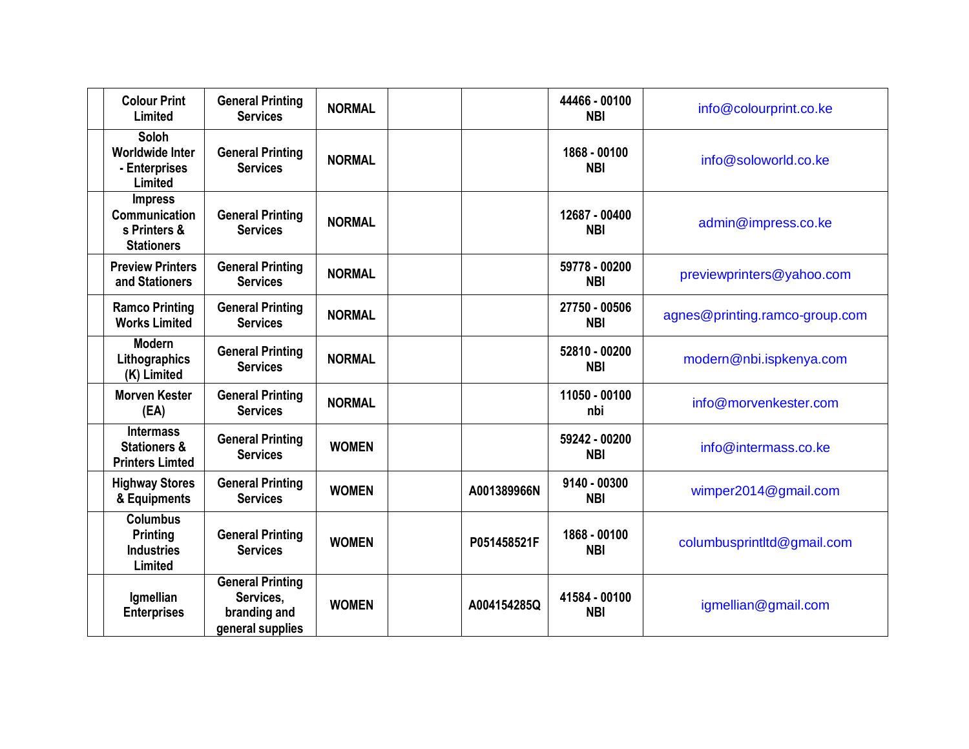| <b>Colour Print</b><br>Limited                                              | <b>General Printing</b><br><b>Services</b>                               | <b>NORMAL</b> |             | 44466 - 00100<br><b>NBI</b> | info@colourprint.co.ke         |
|-----------------------------------------------------------------------------|--------------------------------------------------------------------------|---------------|-------------|-----------------------------|--------------------------------|
| Soloh<br><b>Worldwide Inter</b><br>- Enterprises<br>Limited                 | <b>General Printing</b><br><b>Services</b>                               | <b>NORMAL</b> |             | 1868 - 00100<br><b>NBI</b>  | info@soloworld.co.ke           |
| <b>Impress</b><br><b>Communication</b><br>s Printers &<br><b>Stationers</b> | <b>General Printing</b><br><b>Services</b>                               | <b>NORMAL</b> |             | 12687 - 00400<br><b>NBI</b> | admin@impress.co.ke            |
| <b>Preview Printers</b><br>and Stationers                                   | <b>General Printing</b><br><b>Services</b>                               | <b>NORMAL</b> |             | 59778 - 00200<br><b>NBI</b> | previewprinters@yahoo.com      |
| <b>Ramco Printing</b><br><b>Works Limited</b>                               | <b>General Printing</b><br><b>Services</b>                               | <b>NORMAL</b> |             | 27750 - 00506<br><b>NBI</b> | agnes@printing.ramco-group.com |
| <b>Modern</b><br>Lithographics<br>(K) Limited                               | <b>General Printing</b><br><b>Services</b>                               | <b>NORMAL</b> |             | 52810 - 00200<br><b>NBI</b> | modern@nbi.ispkenya.com        |
| <b>Morven Kester</b><br>(EA)                                                | <b>General Printing</b><br><b>Services</b>                               | <b>NORMAL</b> |             | 11050 - 00100<br>nbi        | info@morvenkester.com          |
| <b>Intermass</b><br><b>Stationers &amp;</b><br><b>Printers Limted</b>       | <b>General Printing</b><br><b>Services</b>                               | <b>WOMEN</b>  |             | 59242 - 00200<br><b>NBI</b> | info@intermass.co.ke           |
| <b>Highway Stores</b><br>& Equipments                                       | <b>General Printing</b><br><b>Services</b>                               | <b>WOMEN</b>  | A001389966N | 9140 - 00300<br><b>NBI</b>  | wimper2014@gmail.com           |
| <b>Columbus</b><br>Printing<br><b>Industries</b><br>Limited                 | <b>General Printing</b><br><b>Services</b>                               | <b>WOMEN</b>  | P051458521F | 1868 - 00100<br><b>NBI</b>  | columbusprintltd@gmail.com     |
| Igmellian<br><b>Enterprises</b>                                             | <b>General Printing</b><br>Services,<br>branding and<br>general supplies | <b>WOMEN</b>  | A004154285Q | 41584 - 00100<br><b>NBI</b> | igmellian@gmail.com            |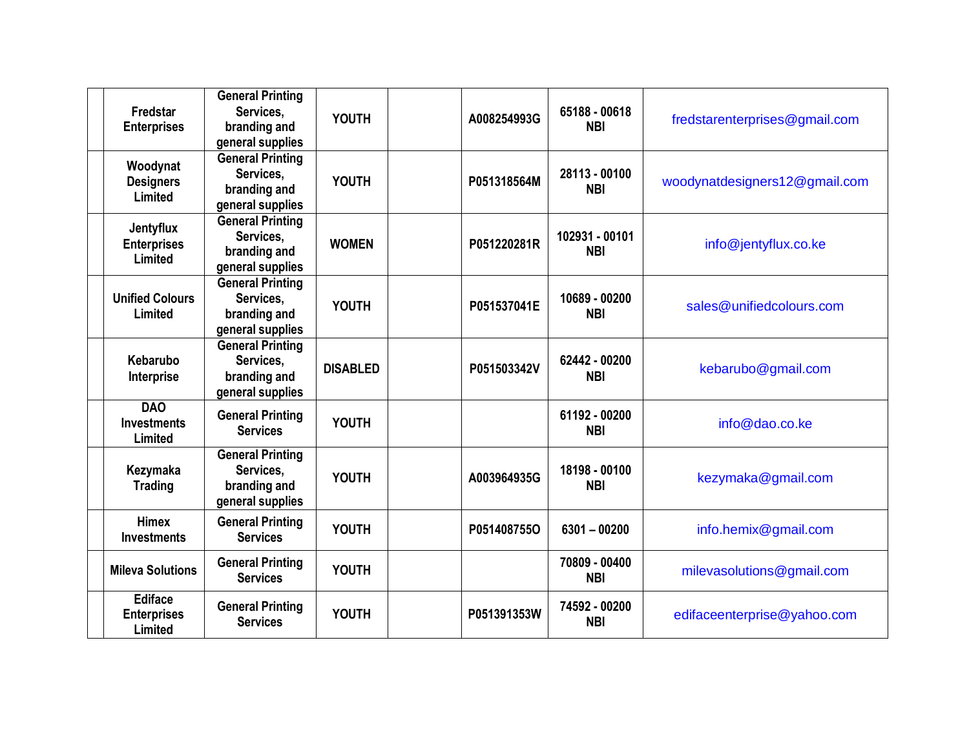| Fredstar<br><b>Enterprises</b>                  | <b>General Printing</b><br>Services,<br>branding and<br>general supplies | <b>YOUTH</b>    | A008254993G | 65188 - 00618<br><b>NBI</b>  | fredstarenterprises@gmail.com |
|-------------------------------------------------|--------------------------------------------------------------------------|-----------------|-------------|------------------------------|-------------------------------|
| Woodynat<br><b>Designers</b><br>Limited         | <b>General Printing</b><br>Services,<br>branding and<br>general supplies | <b>YOUTH</b>    | P051318564M | 28113 - 00100<br><b>NBI</b>  | woodynatdesigners12@gmail.com |
| Jentyflux<br><b>Enterprises</b><br>Limited      | <b>General Printing</b><br>Services.<br>branding and<br>general supplies | <b>WOMEN</b>    | P051220281R | 102931 - 00101<br><b>NBI</b> | info@jentyflux.co.ke          |
| <b>Unified Colours</b><br>Limited               | <b>General Printing</b><br>Services,<br>branding and<br>general supplies | <b>YOUTH</b>    | P051537041E | 10689 - 00200<br><b>NBI</b>  | sales@unifiedcolours.com      |
| Kebarubo<br>Interprise                          | <b>General Printing</b><br>Services,<br>branding and<br>general supplies | <b>DISABLED</b> | P051503342V | 62442 - 00200<br><b>NBI</b>  | kebarubo@gmail.com            |
| <b>DAO</b><br><b>Investments</b><br>Limited     | <b>General Printing</b><br><b>Services</b>                               | <b>YOUTH</b>    |             | 61192 - 00200<br><b>NBI</b>  | info@dao.co.ke                |
| Kezymaka<br><b>Trading</b>                      | <b>General Printing</b><br>Services,<br>branding and<br>general supplies | <b>YOUTH</b>    | A003964935G | 18198 - 00100<br><b>NBI</b>  | kezymaka@gmail.com            |
| <b>Himex</b><br><b>Investments</b>              | <b>General Printing</b><br><b>Services</b>                               | <b>YOUTH</b>    | P051408755O | $6301 - 00200$               | info.hemix@gmail.com          |
| <b>Mileva Solutions</b>                         | <b>General Printing</b><br><b>Services</b>                               | <b>YOUTH</b>    |             | 70809 - 00400<br><b>NBI</b>  | milevasolutions@gmail.com     |
| <b>Ediface</b><br><b>Enterprises</b><br>Limited | <b>General Printing</b><br><b>Services</b>                               | <b>YOUTH</b>    | P051391353W | 74592 - 00200<br><b>NBI</b>  | edifaceenterprise@yahoo.com   |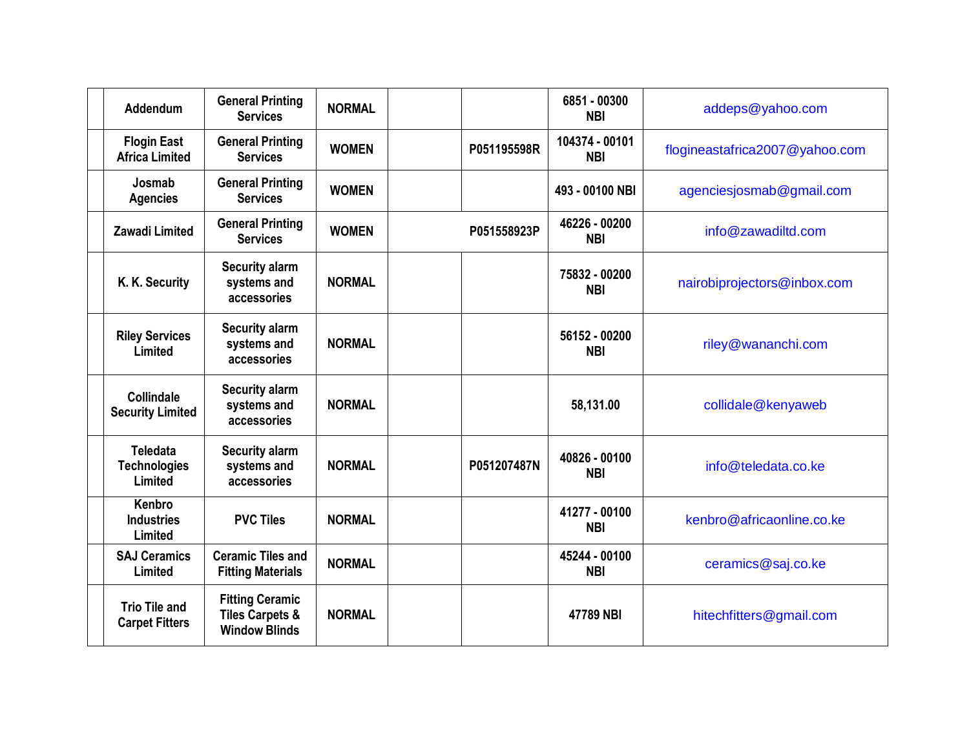| <b>Addendum</b>                                   | <b>General Printing</b><br><b>Services</b>                                   | <b>NORMAL</b> |             | 6851 - 00300<br><b>NBI</b>   | addeps@yahoo.com               |
|---------------------------------------------------|------------------------------------------------------------------------------|---------------|-------------|------------------------------|--------------------------------|
| <b>Flogin East</b><br><b>Africa Limited</b>       | <b>General Printing</b><br><b>Services</b>                                   | <b>WOMEN</b>  | P051195598R | 104374 - 00101<br><b>NBI</b> | flogineastafrica2007@yahoo.com |
| Josmab<br><b>Agencies</b>                         | <b>General Printing</b><br><b>Services</b>                                   | <b>WOMEN</b>  |             | 493 - 00100 NBI              | agenciesjosmab@gmail.com       |
| <b>Zawadi Limited</b>                             | <b>General Printing</b><br><b>Services</b>                                   | <b>WOMEN</b>  | P051558923P | 46226 - 00200<br><b>NBI</b>  | info@zawadiltd.com             |
| K. K. Security                                    | <b>Security alarm</b><br>systems and<br>accessories                          | <b>NORMAL</b> |             | 75832 - 00200<br><b>NBI</b>  | nairobiprojectors@inbox.com    |
| <b>Riley Services</b><br>Limited                  | <b>Security alarm</b><br>systems and<br>accessories                          | <b>NORMAL</b> |             | 56152 - 00200<br><b>NBI</b>  | riley@wananchi.com             |
| Collindale<br><b>Security Limited</b>             | <b>Security alarm</b><br>systems and<br>accessories                          | <b>NORMAL</b> |             | 58,131.00                    | collidale@kenyaweb             |
| <b>Teledata</b><br><b>Technologies</b><br>Limited | <b>Security alarm</b><br>systems and<br>accessories                          | <b>NORMAL</b> | P051207487N | 40826 - 00100<br><b>NBI</b>  | info@teledata.co.ke            |
| Kenbro<br><b>Industries</b><br>Limited            | <b>PVC Tiles</b>                                                             | <b>NORMAL</b> |             | 41277 - 00100<br><b>NBI</b>  | kenbro@africaonline.co.ke      |
| <b>SAJ Ceramics</b><br>Limited                    | <b>Ceramic Tiles and</b><br><b>Fitting Materials</b>                         | <b>NORMAL</b> |             | 45244 - 00100<br><b>NBI</b>  | ceramics@saj.co.ke             |
| <b>Trio Tile and</b><br><b>Carpet Fitters</b>     | <b>Fitting Ceramic</b><br><b>Tiles Carpets &amp;</b><br><b>Window Blinds</b> | <b>NORMAL</b> |             | 47789 NBI                    | hitechfitters@gmail.com        |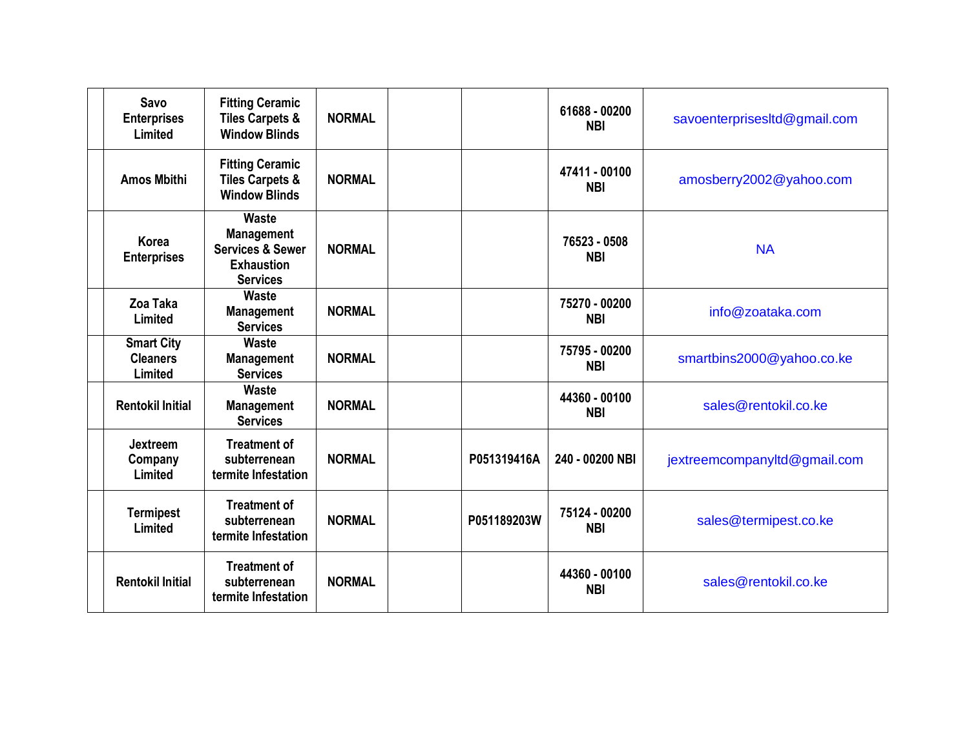| Savo<br><b>Enterprises</b><br>Limited           | <b>Fitting Ceramic</b><br><b>Tiles Carpets &amp;</b><br><b>Window Blinds</b>                             | <b>NORMAL</b> |             | 61688 - 00200<br><b>NBI</b> | savoenterprisesItd@gmail.com |
|-------------------------------------------------|----------------------------------------------------------------------------------------------------------|---------------|-------------|-----------------------------|------------------------------|
| <b>Amos Mbithi</b>                              | <b>Fitting Ceramic</b><br><b>Tiles Carpets &amp;</b><br><b>Window Blinds</b>                             | <b>NORMAL</b> |             | 47411 - 00100<br><b>NBI</b> | amosberry2002@yahoo.com      |
| Korea<br><b>Enterprises</b>                     | <b>Waste</b><br><b>Management</b><br><b>Services &amp; Sewer</b><br><b>Exhaustion</b><br><b>Services</b> | <b>NORMAL</b> |             | 76523 - 0508<br><b>NBI</b>  | <b>NA</b>                    |
| Zoa Taka<br>Limited                             | Waste<br><b>Management</b><br><b>Services</b>                                                            | <b>NORMAL</b> |             | 75270 - 00200<br><b>NBI</b> | info@zoataka.com             |
| <b>Smart City</b><br><b>Cleaners</b><br>Limited | <b>Waste</b><br><b>Management</b><br><b>Services</b>                                                     | <b>NORMAL</b> |             | 75795 - 00200<br><b>NBI</b> | smartbins2000@yahoo.co.ke    |
| <b>Rentokil Initial</b>                         | Waste<br><b>Management</b><br><b>Services</b>                                                            | <b>NORMAL</b> |             | 44360 - 00100<br><b>NBI</b> | sales@rentokil.co.ke         |
| <b>Jextreem</b><br>Company<br>Limited           | <b>Treatment of</b><br>subterrenean<br>termite Infestation                                               | <b>NORMAL</b> | P051319416A | 240 - 00200 NBI             | jextreemcompanyltd@gmail.com |
| <b>Termipest</b><br>Limited                     | <b>Treatment of</b><br>subterrenean<br>termite Infestation                                               | <b>NORMAL</b> | P051189203W | 75124 - 00200<br><b>NBI</b> | sales@termipest.co.ke        |
| <b>Rentokil Initial</b>                         | <b>Treatment of</b><br>subterrenean<br>termite Infestation                                               | <b>NORMAL</b> |             | 44360 - 00100<br><b>NBI</b> | sales@rentokil.co.ke         |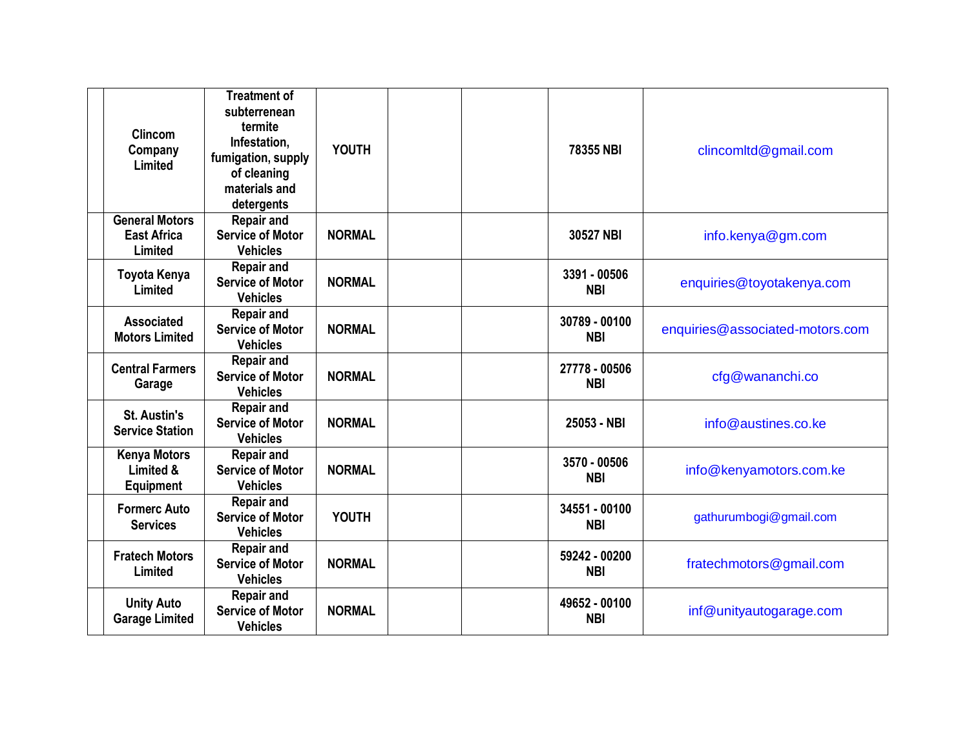| <b>Clincom</b><br>Company<br>Limited                   | <b>Treatment of</b><br>subterrenean<br>termite<br>Infestation,<br>fumigation, supply<br>of cleaning<br>materials and<br>detergents | <b>YOUTH</b>  | 78355 NBI                   | clincomitd@gmail.com            |
|--------------------------------------------------------|------------------------------------------------------------------------------------------------------------------------------------|---------------|-----------------------------|---------------------------------|
| <b>General Motors</b><br><b>East Africa</b><br>Limited | <b>Repair and</b><br><b>Service of Motor</b><br><b>Vehicles</b>                                                                    | <b>NORMAL</b> | 30527 NBI                   | info.kenya@gm.com               |
| <b>Toyota Kenya</b><br>Limited                         | <b>Repair and</b><br><b>Service of Motor</b><br><b>Vehicles</b>                                                                    | <b>NORMAL</b> | 3391 - 00506<br><b>NBI</b>  | enquiries@toyotakenya.com       |
| <b>Associated</b><br><b>Motors Limited</b>             | <b>Repair and</b><br><b>Service of Motor</b><br><b>Vehicles</b>                                                                    | <b>NORMAL</b> | 30789 - 00100<br><b>NBI</b> | enquiries@associated-motors.com |
| <b>Central Farmers</b><br>Garage                       | <b>Repair and</b><br><b>Service of Motor</b><br><b>Vehicles</b>                                                                    | <b>NORMAL</b> | 27778 - 00506<br><b>NBI</b> | cfg@wananchi.co                 |
| <b>St. Austin's</b><br><b>Service Station</b>          | <b>Repair and</b><br><b>Service of Motor</b><br><b>Vehicles</b>                                                                    | <b>NORMAL</b> | 25053 - NBI                 | info@austines.co.ke             |
| <b>Kenya Motors</b><br>Limited &<br><b>Equipment</b>   | <b>Repair and</b><br><b>Service of Motor</b><br><b>Vehicles</b>                                                                    | <b>NORMAL</b> | 3570 - 00506<br><b>NBI</b>  | info@kenyamotors.com.ke         |
| <b>Formerc Auto</b><br><b>Services</b>                 | <b>Repair and</b><br><b>Service of Motor</b><br><b>Vehicles</b>                                                                    | <b>YOUTH</b>  | 34551 - 00100<br><b>NBI</b> | gathurumbogi@gmail.com          |
| <b>Fratech Motors</b><br>Limited                       | <b>Repair and</b><br><b>Service of Motor</b><br><b>Vehicles</b>                                                                    | <b>NORMAL</b> | 59242 - 00200<br><b>NBI</b> | fratechmotors@gmail.com         |
| <b>Unity Auto</b><br><b>Garage Limited</b>             | <b>Repair and</b><br><b>Service of Motor</b><br><b>Vehicles</b>                                                                    | <b>NORMAL</b> | 49652 - 00100<br><b>NBI</b> | inf@unityautogarage.com         |